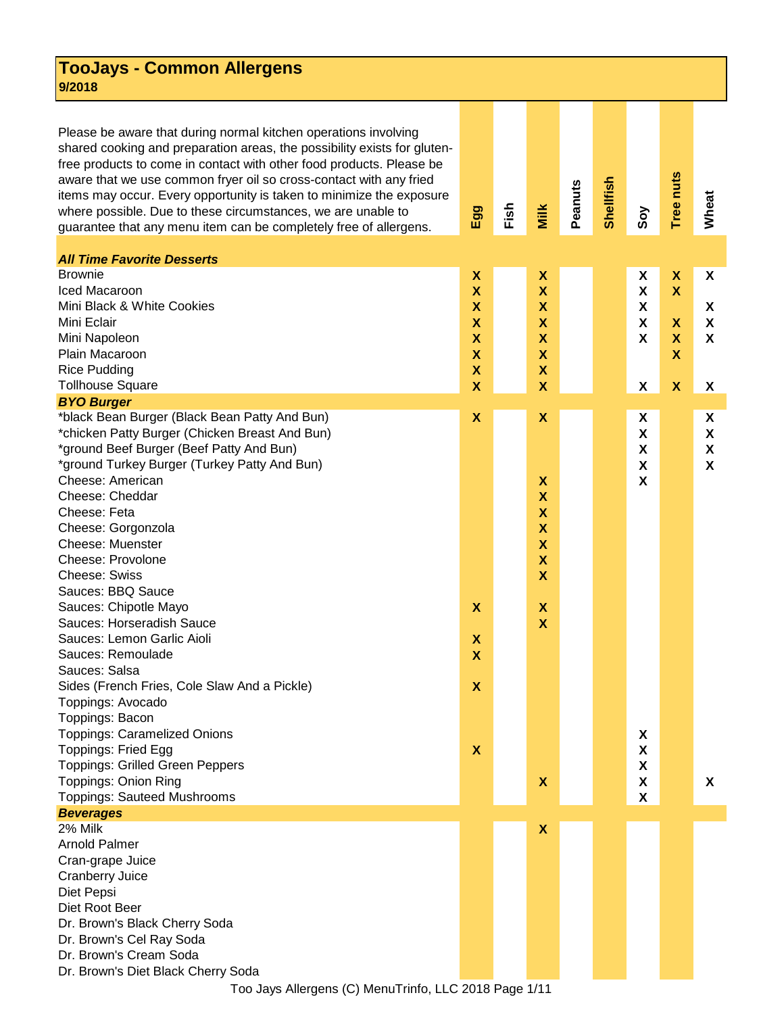## **TooJays - Common Allergens 9/2018**

Please be aware that during normal kitchen operations involving shared cooking and preparation areas, the possibility exists for glutenfree products to come in contact with other food products. Please be aware that we use common fryer oil so cross-contact with any fried items may occur. Every opportunity is taken to minimize the exposure where possible. Due to these circumstances, we are unable to guarantee that any menu item can be completely free of allergens.

| <b>All Time Favorite Desserts</b><br><b>Brownie</b> |                           |                           |  |                           |                                |              |
|-----------------------------------------------------|---------------------------|---------------------------|--|---------------------------|--------------------------------|--------------|
| Iced Macaroon                                       | X                         | X                         |  | X<br>X                    | X<br>$\boldsymbol{\mathsf{x}}$ | X            |
| Mini Black & White Cookies                          | $\boldsymbol{\mathsf{X}}$ | $\boldsymbol{\mathsf{x}}$ |  |                           |                                |              |
|                                                     | $\boldsymbol{\mathsf{x}}$ | X                         |  | X                         |                                | X            |
| Mini Eclair                                         | $\boldsymbol{\mathsf{X}}$ | $\boldsymbol{\mathsf{x}}$ |  | X                         | $\boldsymbol{\mathsf{X}}$      | $\mathsf{x}$ |
| Mini Napoleon                                       | $\boldsymbol{\mathsf{X}}$ | $\boldsymbol{\mathsf{X}}$ |  | X                         | $\mathbf x$                    | X            |
| Plain Macaroon                                      | $\boldsymbol{\mathsf{X}}$ | $\boldsymbol{\mathsf{x}}$ |  |                           | $\mathbf x$                    |              |
| <b>Rice Pudding</b>                                 | $\boldsymbol{\mathsf{X}}$ | $\boldsymbol{\mathsf{X}}$ |  |                           |                                |              |
| <b>Tollhouse Square</b>                             | $\mathbf x$               | $\boldsymbol{\mathsf{x}}$ |  | X                         | $\boldsymbol{\mathsf{X}}$      | X            |
| <b>BYO Burger</b>                                   |                           |                           |  |                           |                                |              |
| *black Bean Burger (Black Bean Patty And Bun)       | $\boldsymbol{\mathsf{X}}$ | $\boldsymbol{\mathsf{X}}$ |  | X                         |                                | X            |
| *chicken Patty Burger (Chicken Breast And Bun)      |                           |                           |  | $\boldsymbol{\mathsf{X}}$ |                                | X            |
| *ground Beef Burger (Beef Patty And Bun)            |                           |                           |  | $\boldsymbol{\mathsf{X}}$ |                                | X            |
| *ground Turkey Burger (Turkey Patty And Bun)        |                           |                           |  | X                         |                                | X            |
| Cheese: American                                    |                           | X                         |  | X                         |                                |              |
| Cheese: Cheddar                                     |                           | X                         |  |                           |                                |              |
| Cheese: Feta                                        |                           | $\boldsymbol{\mathsf{x}}$ |  |                           |                                |              |
| Cheese: Gorgonzola                                  |                           | $\boldsymbol{\mathsf{x}}$ |  |                           |                                |              |
| <b>Cheese: Muenster</b>                             |                           | $\boldsymbol{\mathsf{X}}$ |  |                           |                                |              |
| Cheese: Provolone                                   |                           | $\boldsymbol{\mathsf{X}}$ |  |                           |                                |              |
| <b>Cheese: Swiss</b>                                |                           | $\mathbf x$               |  |                           |                                |              |
| Sauces: BBQ Sauce                                   |                           |                           |  |                           |                                |              |
| Sauces: Chipotle Mayo                               | X                         | $\boldsymbol{\mathsf{x}}$ |  |                           |                                |              |
| Sauces: Horseradish Sauce                           |                           | $\mathbf{x}$              |  |                           |                                |              |
| Sauces: Lemon Garlic Aioli                          | X                         |                           |  |                           |                                |              |
| Sauces: Remoulade                                   | $\mathbf x$               |                           |  |                           |                                |              |
| Sauces: Salsa                                       |                           |                           |  |                           |                                |              |
| Sides (French Fries, Cole Slaw And a Pickle)        | X                         |                           |  |                           |                                |              |
| Toppings: Avocado                                   |                           |                           |  |                           |                                |              |
| Toppings: Bacon                                     |                           |                           |  |                           |                                |              |
| <b>Toppings: Caramelized Onions</b>                 |                           |                           |  | X                         |                                |              |
| Toppings: Fried Egg                                 | $\boldsymbol{\mathsf{X}}$ |                           |  | X                         |                                |              |
| <b>Toppings: Grilled Green Peppers</b>              |                           |                           |  | $\pmb{\mathsf{X}}$        |                                |              |
| <b>Toppings: Onion Ring</b>                         |                           | $\boldsymbol{\mathsf{X}}$ |  | $\pmb{\mathsf{X}}$        |                                | X            |
| <b>Toppings: Sauteed Mushrooms</b>                  |                           |                           |  | X                         |                                |              |
| <b>Beverages</b>                                    |                           |                           |  |                           |                                |              |
| 2% Milk                                             |                           | X                         |  |                           |                                |              |
| <b>Arnold Palmer</b>                                |                           |                           |  |                           |                                |              |
| Cran-grape Juice                                    |                           |                           |  |                           |                                |              |
| <b>Cranberry Juice</b>                              |                           |                           |  |                           |                                |              |
| Diet Pepsi                                          |                           |                           |  |                           |                                |              |
| Diet Root Beer                                      |                           |                           |  |                           |                                |              |
| Dr. Brown's Black Cherry Soda                       |                           |                           |  |                           |                                |              |
| Dr. Brown's Cel Ray Soda                            |                           |                           |  |                           |                                |              |
| Dr. Brown's Cream Soda                              |                           |                           |  |                           |                                |              |
| Dr. Brown's Diet Black Cherry Soda                  |                           |                           |  |                           |                                |              |

 **Fish**

 **Egg**

 **Milk**

 **Peanuts**

 **Shellfish**

 **Soy**

 **Tree nuts**

 **Wheat**

Too Jays Allergens (C) MenuTrinfo, LLC 2018 Page 1/11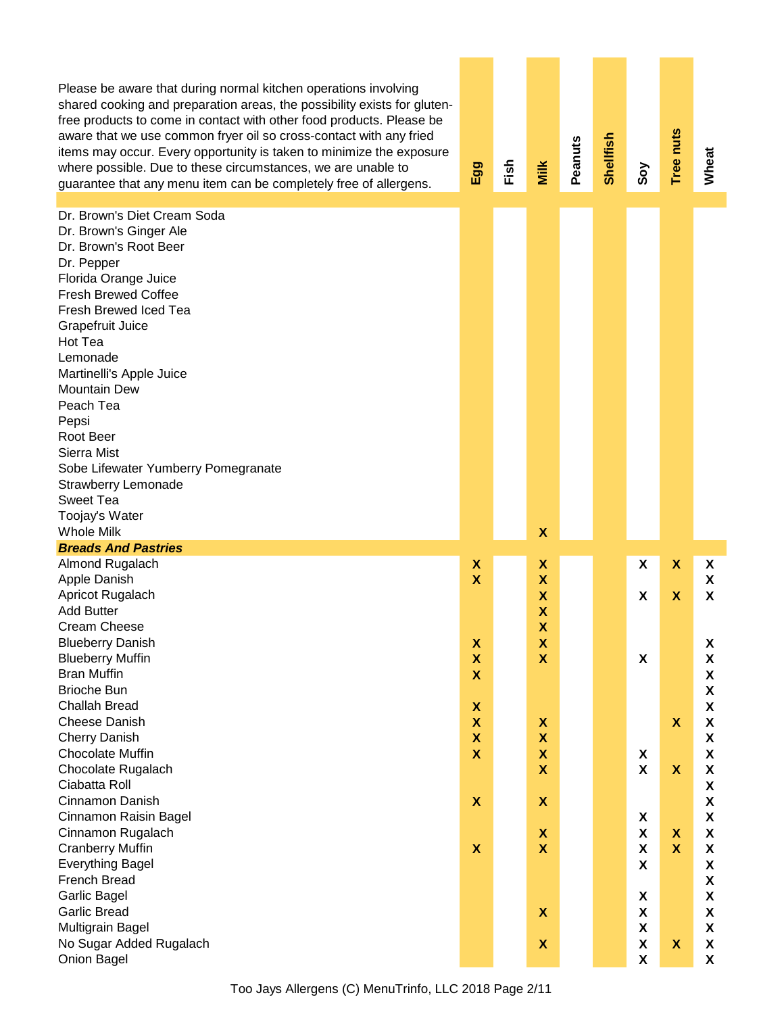Please be aware that during normal kitchen operations involving shared cooking and preparation areas, the possibility exists for glutenfree products to come in contact with other food products. Please be aware that we use common fryer oil so cross-contact with any fried items may occur. Every opportunity is taken to minimize the exposure where possible. Due to these circumstances, we are unable to guarantee that any menu item can be completely free of allergens.

 **Egg Fish Milk Peanuts Shellfish Soy Tree nuts Wheat** Dr. Brown's Diet Cream Soda Dr. Brown's Ginger Ale Dr. Brown's Root Beer Dr. Pepper Florida Orange Juice Fresh Brewed Coffee Fresh Brewed Iced Tea Grapefruit Juice Hot Tea Lemonade Martinelli's Apple Juice Mountain Dew Peach Tea Pepsi Root Beer Sierra Mist Sobe Lifewater Yumberry Pomegranate Strawberry Lemonade Sweet Tea Toojay's Water Whole Milk **X** Almond Rugalach **X X X X X** Apple Danish **X X X** Apricot Rugalach **X X X X** Add Butter **X** Cream Cheese **X** Blueberry Danish **X X X** Blueberry Muffin **X X X X** Bran Muffin **X X** Brioche Bun **X** Challah Bread **X X** Cheese Danish **X X X X** Cherry Danish **X X X** Chocolate Muffin **X X X X** Chocolate Rugalach **X X X X** Ciabatta Roll **X** Cinnamon Danish **X X X** Cinnamon Raisin Bagel **X X** Cinnamon Rugalach **X X X X** Cranberry Muffin **X X X X X** Everything Bagel **X X** French Bread **X** Garlic Bagel **X X** Garlic Bread **X X X** Multigrain Bagel **X X** No Sugar Added Rugalach **X X X X** Onion Bagel **X X** *Breads And Pastries*

Too Jays Allergens (C) MenuTrinfo, LLC 2018 Page 2/11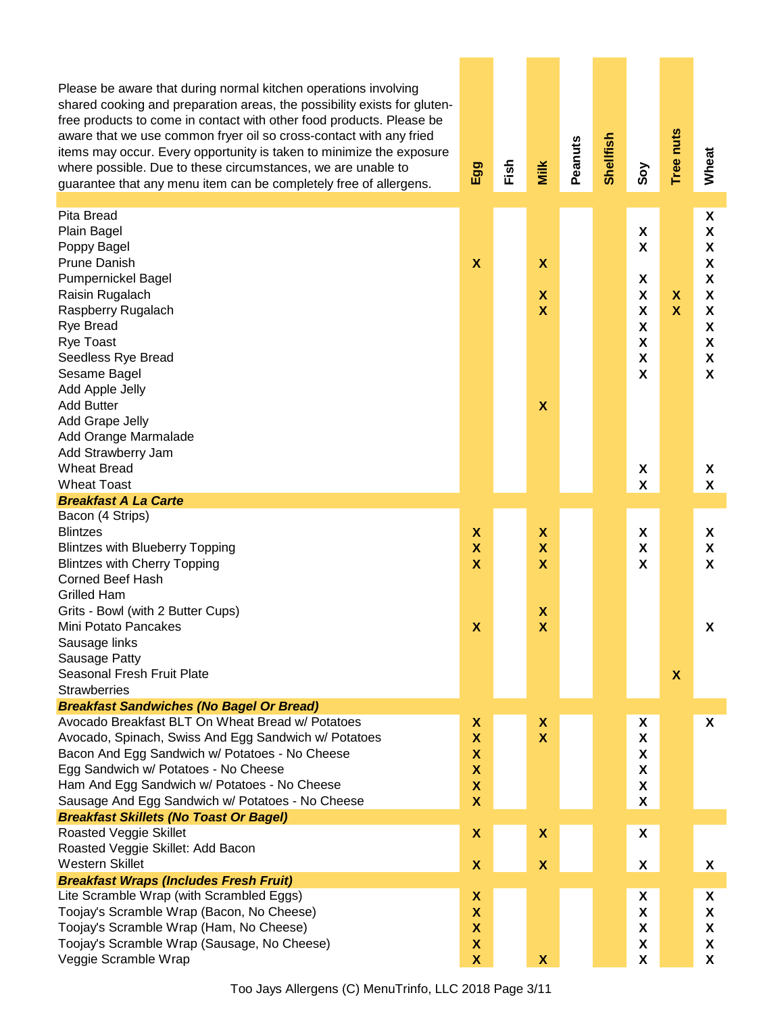Please be aware that during normal kitchen operations involving shared cooking and preparation areas, the possibility exists for glutenfree products to come in contact with other food products. Please be aware that we use common fryer oil so cross-contact with any fried items may occur. Every opportunity is taken to minimize the exposure where possible. Due to these circumstances, we are unable to guarantee that any menu item can be completely free of allergens.

| guarantee that any menu item can be completely free of allergens.                      | ш                              | 证 | Σ                         | Ñ. | $\overline{\boldsymbol{\omega}}$ | Ŏ,                             | ⊢                         | ℥                         |
|----------------------------------------------------------------------------------------|--------------------------------|---|---------------------------|----|----------------------------------|--------------------------------|---------------------------|---------------------------|
| Pita Bread<br>Plain Bagel<br>Poppy Bagel                                               |                                |   |                           |    |                                  | X<br>$\boldsymbol{\mathsf{X}}$ |                           | X<br>X<br>X               |
| <b>Prune Danish</b>                                                                    | $\boldsymbol{\mathsf{X}}$      |   | $\boldsymbol{\mathsf{X}}$ |    |                                  |                                |                           | X                         |
| Pumpernickel Bagel                                                                     |                                |   |                           |    |                                  | X                              |                           | X                         |
| Raisin Rugalach                                                                        |                                |   | X                         |    |                                  | X                              | X                         | X                         |
| Raspberry Rugalach                                                                     |                                |   | $\boldsymbol{\mathsf{x}}$ |    |                                  | X                              | X                         | X                         |
| <b>Rye Bread</b>                                                                       |                                |   |                           |    |                                  | X                              |                           | X                         |
| <b>Rye Toast</b>                                                                       |                                |   |                           |    |                                  | X                              |                           | X                         |
| Seedless Rye Bread                                                                     |                                |   |                           |    |                                  | X                              |                           | X                         |
| Sesame Bagel                                                                           |                                |   |                           |    |                                  | X                              |                           | X                         |
| Add Apple Jelly                                                                        |                                |   |                           |    |                                  |                                |                           |                           |
| <b>Add Butter</b>                                                                      |                                |   | $\boldsymbol{\mathsf{X}}$ |    |                                  |                                |                           |                           |
| Add Grape Jelly                                                                        |                                |   |                           |    |                                  |                                |                           |                           |
| Add Orange Marmalade                                                                   |                                |   |                           |    |                                  |                                |                           |                           |
| Add Strawberry Jam<br><b>Wheat Bread</b>                                               |                                |   |                           |    |                                  |                                |                           |                           |
| <b>Wheat Toast</b>                                                                     |                                |   |                           |    |                                  | X<br>X                         |                           | X<br>X                    |
| <b>Breakfast A La Carte</b>                                                            |                                |   |                           |    |                                  |                                |                           |                           |
| Bacon (4 Strips)                                                                       |                                |   |                           |    |                                  |                                |                           |                           |
| <b>Blintzes</b>                                                                        | X                              |   | X                         |    |                                  | X                              |                           | X                         |
| <b>Blintzes with Blueberry Topping</b>                                                 | $\boldsymbol{\mathsf{X}}$      |   | $\boldsymbol{\mathsf{x}}$ |    |                                  | X                              |                           | X                         |
| <b>Blintzes with Cherry Topping</b>                                                    | $\boldsymbol{\mathsf{X}}$      |   | $\boldsymbol{\mathsf{x}}$ |    |                                  | X                              |                           | X                         |
| <b>Corned Beef Hash</b>                                                                |                                |   |                           |    |                                  |                                |                           |                           |
| <b>Grilled Ham</b>                                                                     |                                |   |                           |    |                                  |                                |                           |                           |
| Grits - Bowl (with 2 Butter Cups)                                                      |                                |   | X                         |    |                                  |                                |                           |                           |
| Mini Potato Pancakes                                                                   | $\boldsymbol{\mathsf{X}}$      |   | $\boldsymbol{\mathsf{x}}$ |    |                                  |                                |                           | $\boldsymbol{\mathsf{X}}$ |
| Sausage links                                                                          |                                |   |                           |    |                                  |                                |                           |                           |
| Sausage Patty                                                                          |                                |   |                           |    |                                  |                                |                           |                           |
| Seasonal Fresh Fruit Plate                                                             |                                |   |                           |    |                                  |                                | $\boldsymbol{\mathsf{x}}$ |                           |
| <b>Strawberries</b>                                                                    |                                |   |                           |    |                                  |                                |                           |                           |
| <b>Breakfast Sandwiches (No Bagel Or Bread)</b>                                        |                                |   |                           |    |                                  |                                |                           |                           |
| Avocado Breakfast BLT On Wheat Bread w/ Potatoes                                       | X                              |   | X                         |    |                                  | X                              |                           | X                         |
| Avocado, Spinach, Swiss And Egg Sandwich w/ Potatoes                                   | $\boldsymbol{\mathsf{X}}$      |   | $\mathbf x$               |    |                                  | X                              |                           |                           |
| Bacon And Egg Sandwich w/ Potatoes - No Cheese<br>Egg Sandwich w/ Potatoes - No Cheese | X<br>$\boldsymbol{\mathsf{x}}$ |   |                           |    |                                  | X<br>X                         |                           |                           |
| Ham And Egg Sandwich w/ Potatoes - No Cheese                                           | $\pmb{\mathsf{X}}$             |   |                           |    |                                  | X                              |                           |                           |
| Sausage And Egg Sandwich w/ Potatoes - No Cheese                                       | $\boldsymbol{\mathsf{X}}$      |   |                           |    |                                  | X                              |                           |                           |
| <b>Breakfast Skillets (No Toast Or Bagel)</b>                                          |                                |   |                           |    |                                  |                                |                           |                           |
| Roasted Veggie Skillet                                                                 | X                              |   | X                         |    |                                  | X                              |                           |                           |
| Roasted Veggie Skillet: Add Bacon                                                      |                                |   |                           |    |                                  |                                |                           |                           |
| <b>Western Skillet</b>                                                                 | $\boldsymbol{\mathsf{x}}$      |   | $\boldsymbol{\mathsf{x}}$ |    |                                  | X                              |                           | X                         |
| <b>Breakfast Wraps (Includes Fresh Fruit)</b>                                          |                                |   |                           |    |                                  |                                |                           |                           |
| Lite Scramble Wrap (with Scrambled Eggs)                                               | $\pmb{\mathsf{X}}$             |   |                           |    |                                  | X                              |                           | X                         |
| Toojay's Scramble Wrap (Bacon, No Cheese)                                              | $\boldsymbol{\mathsf{x}}$      |   |                           |    |                                  | X                              |                           | X                         |
| Toojay's Scramble Wrap (Ham, No Cheese)                                                | $\boldsymbol{\mathsf{x}}$      |   |                           |    |                                  | X                              |                           | X                         |
| Toojay's Scramble Wrap (Sausage, No Cheese)                                            | $\boldsymbol{\mathsf{x}}$      |   |                           |    |                                  | X                              |                           | X                         |
| Veggie Scramble Wrap                                                                   | $\pmb{\mathsf{X}}$             |   | $\boldsymbol{\mathsf{x}}$ |    |                                  | X                              |                           | X                         |

 **Egg**

 **Fish**

**Milk** 

 **Peanuts**

 **Shellfish**

 **Soy**

ee nuts

 **Wheat**

Too Jays Allergens (C) MenuTrinfo, LLC 2018 Page 3/11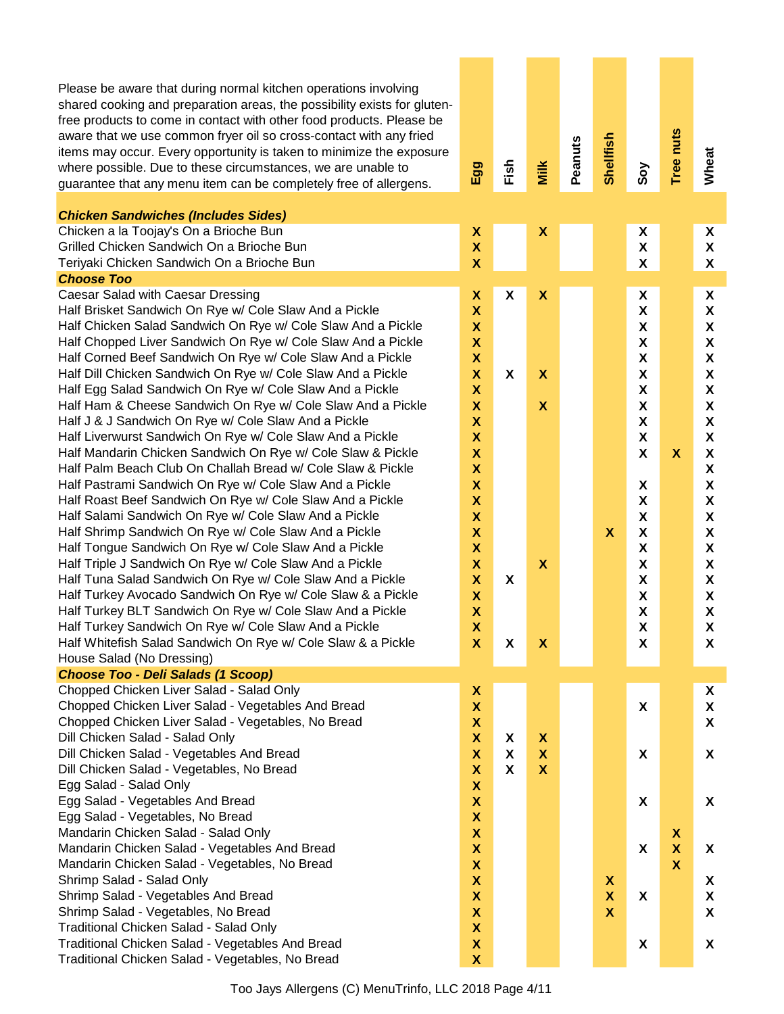| Please be aware that during normal kitchen operations involving<br>shared cooking and preparation areas, the possibility exists for gluten-<br>free products to come in contact with other food products. Please be<br>aware that we use common fryer oil so cross-contact with any fried<br>items may occur. Every opportunity is taken to minimize the exposure<br>where possible. Due to these circumstances, we are unable to<br>guarantee that any menu item can be completely free of allergens.<br><b>Chicken Sandwiches (Includes Sides)</b>                                                                                                                                                                                                                                                                                                                                                                                                                                                                                                                                                                                                                                                                                                                                                                                                                                                                   | Egg                                                                                                                                                                                                                                                                                                   | Fish             | Milk                                                                                          | Peanuts | Shellfish                                            | Soy                                                                                                                                                                                                                                                                                | Tree nuts                                                   | Wheat                                                                                                                                                                            |
|------------------------------------------------------------------------------------------------------------------------------------------------------------------------------------------------------------------------------------------------------------------------------------------------------------------------------------------------------------------------------------------------------------------------------------------------------------------------------------------------------------------------------------------------------------------------------------------------------------------------------------------------------------------------------------------------------------------------------------------------------------------------------------------------------------------------------------------------------------------------------------------------------------------------------------------------------------------------------------------------------------------------------------------------------------------------------------------------------------------------------------------------------------------------------------------------------------------------------------------------------------------------------------------------------------------------------------------------------------------------------------------------------------------------|-------------------------------------------------------------------------------------------------------------------------------------------------------------------------------------------------------------------------------------------------------------------------------------------------------|------------------|-----------------------------------------------------------------------------------------------|---------|------------------------------------------------------|------------------------------------------------------------------------------------------------------------------------------------------------------------------------------------------------------------------------------------------------------------------------------------|-------------------------------------------------------------|----------------------------------------------------------------------------------------------------------------------------------------------------------------------------------|
| Chicken a la Toojay's On a Brioche Bun<br>Grilled Chicken Sandwich On a Brioche Bun                                                                                                                                                                                                                                                                                                                                                                                                                                                                                                                                                                                                                                                                                                                                                                                                                                                                                                                                                                                                                                                                                                                                                                                                                                                                                                                                    | χ<br>$\boldsymbol{\mathsf{X}}$                                                                                                                                                                                                                                                                        |                  | X                                                                                             |         |                                                      | X<br>$\pmb{\mathsf{X}}$                                                                                                                                                                                                                                                            |                                                             | X<br>X                                                                                                                                                                           |
| Teriyaki Chicken Sandwich On a Brioche Bun                                                                                                                                                                                                                                                                                                                                                                                                                                                                                                                                                                                                                                                                                                                                                                                                                                                                                                                                                                                                                                                                                                                                                                                                                                                                                                                                                                             | X                                                                                                                                                                                                                                                                                                     |                  |                                                                                               |         |                                                      | X                                                                                                                                                                                                                                                                                  |                                                             | X                                                                                                                                                                                |
| <b>Choose Too</b>                                                                                                                                                                                                                                                                                                                                                                                                                                                                                                                                                                                                                                                                                                                                                                                                                                                                                                                                                                                                                                                                                                                                                                                                                                                                                                                                                                                                      |                                                                                                                                                                                                                                                                                                       |                  |                                                                                               |         |                                                      |                                                                                                                                                                                                                                                                                    |                                                             |                                                                                                                                                                                  |
| Caesar Salad with Caesar Dressing<br>Half Brisket Sandwich On Rye w/ Cole Slaw And a Pickle<br>Half Chicken Salad Sandwich On Rye w/ Cole Slaw And a Pickle<br>Half Chopped Liver Sandwich On Rye w/ Cole Slaw And a Pickle<br>Half Corned Beef Sandwich On Rye w/ Cole Slaw And a Pickle<br>Half Dill Chicken Sandwich On Rye w/ Cole Slaw And a Pickle<br>Half Egg Salad Sandwich On Rye w/ Cole Slaw And a Pickle<br>Half Ham & Cheese Sandwich On Rye w/ Cole Slaw And a Pickle<br>Half J & J Sandwich On Rye w/ Cole Slaw And a Pickle<br>Half Liverwurst Sandwich On Rye w/ Cole Slaw And a Pickle<br>Half Mandarin Chicken Sandwich On Rye w/ Cole Slaw & Pickle<br>Half Palm Beach Club On Challah Bread w/ Cole Slaw & Pickle<br>Half Pastrami Sandwich On Rye w/ Cole Slaw And a Pickle<br>Half Roast Beef Sandwich On Rye w/ Cole Slaw And a Pickle<br>Half Salami Sandwich On Rye w/ Cole Slaw And a Pickle<br>Half Shrimp Sandwich On Rye w/ Cole Slaw And a Pickle<br>Half Tongue Sandwich On Rye w/ Cole Slaw And a Pickle<br>Half Triple J Sandwich On Rye w/ Cole Slaw And a Pickle<br>Half Tuna Salad Sandwich On Rye w/ Cole Slaw And a Pickle<br>Half Turkey Avocado Sandwich On Rye w/ Cole Slaw & a Pickle<br>Half Turkey BLT Sandwich On Rye w/ Cole Slaw And a Pickle<br>Half Turkey Sandwich On Rye w/ Cole Slaw And a Pickle<br>Half Whitefish Salad Sandwich On Rye w/ Cole Slaw & a Pickle | x<br>X<br>X<br>$\mathsf{X}$<br>$\mathsf{X}$<br>$\mathsf{X}$<br>$\mathsf{X}$<br>$\boldsymbol{\mathsf{X}}$<br>$\mathsf{X}$<br>$\boldsymbol{\mathsf{X}}$<br>$\mathsf{X}$<br>$\mathsf{X}$<br>$\mathsf{X}$<br>$\mathsf{X}$<br>X<br>X<br>$\boldsymbol{\mathsf{X}}$<br>X<br>X<br>X<br>X<br>$\mathsf{X}$<br>X | X<br>X<br>X<br>X | X<br>$\boldsymbol{\mathsf{X}}$<br>$\boldsymbol{\mathsf{X}}$<br>$\boldsymbol{\mathsf{X}}$<br>X |         | $\boldsymbol{\mathsf{x}}$                            | X<br>X<br>X<br>$\boldsymbol{\mathsf{X}}$<br>$\pmb{\chi}$<br>$\pmb{\mathsf{X}}$<br>$\boldsymbol{\mathsf{X}}$<br>$\pmb{\mathsf{X}}$<br>$\pmb{\mathsf{X}}$<br>X<br>$\boldsymbol{\mathsf{X}}$<br>X<br>X<br>X<br>X<br>X<br>X<br>X<br>X<br>$\pmb{\mathsf{X}}$<br>$\pmb{\mathsf{X}}$<br>X | $\boldsymbol{\mathsf{X}}$                                   | X<br>X<br>X<br>X<br>X<br>X<br>X<br>X<br>X<br>X<br>$\boldsymbol{\mathsf{X}}$<br>$\boldsymbol{\mathsf{X}}$<br>X<br>X<br>X<br>X<br>X<br>X<br>X<br>X<br>$\pmb{\mathsf{X}}$<br>X<br>X |
| House Salad (No Dressing)                                                                                                                                                                                                                                                                                                                                                                                                                                                                                                                                                                                                                                                                                                                                                                                                                                                                                                                                                                                                                                                                                                                                                                                                                                                                                                                                                                                              |                                                                                                                                                                                                                                                                                                       |                  |                                                                                               |         |                                                      |                                                                                                                                                                                                                                                                                    |                                                             |                                                                                                                                                                                  |
| Choose Too - Deli Salads (1 Scoop)<br>Chopped Chicken Liver Salad - Salad Only<br>Chopped Chicken Liver Salad - Vegetables And Bread<br>Chopped Chicken Liver Salad - Vegetables, No Bread<br>Dill Chicken Salad - Salad Only<br>Dill Chicken Salad - Vegetables And Bread                                                                                                                                                                                                                                                                                                                                                                                                                                                                                                                                                                                                                                                                                                                                                                                                                                                                                                                                                                                                                                                                                                                                             | X<br>X<br>$\mathsf{X}$<br>$\mathsf{X}$<br>$\mathsf{X}$                                                                                                                                                                                                                                                | X<br>X           | $\pmb{\mathsf{X}}$<br>$\pmb{\mathsf{X}}$                                                      |         |                                                      | X<br>X                                                                                                                                                                                                                                                                             |                                                             | X<br>X<br>X<br>X                                                                                                                                                                 |
| Dill Chicken Salad - Vegetables, No Bread<br>Egg Salad - Salad Only<br>Egg Salad - Vegetables And Bread<br>Egg Salad - Vegetables, No Bread                                                                                                                                                                                                                                                                                                                                                                                                                                                                                                                                                                                                                                                                                                                                                                                                                                                                                                                                                                                                                                                                                                                                                                                                                                                                            | X<br>X<br>X<br>X                                                                                                                                                                                                                                                                                      | X                | $\boldsymbol{\mathsf{X}}$                                                                     |         |                                                      | X                                                                                                                                                                                                                                                                                  |                                                             | X                                                                                                                                                                                |
| Mandarin Chicken Salad - Salad Only<br>Mandarin Chicken Salad - Vegetables And Bread<br>Mandarin Chicken Salad - Vegetables, No Bread                                                                                                                                                                                                                                                                                                                                                                                                                                                                                                                                                                                                                                                                                                                                                                                                                                                                                                                                                                                                                                                                                                                                                                                                                                                                                  | X<br>X<br>X                                                                                                                                                                                                                                                                                           |                  |                                                                                               |         |                                                      | X                                                                                                                                                                                                                                                                                  | X<br>$\boldsymbol{\mathsf{X}}$<br>$\boldsymbol{\mathsf{X}}$ | X                                                                                                                                                                                |
| Shrimp Salad - Salad Only<br>Shrimp Salad - Vegetables And Bread<br>Shrimp Salad - Vegetables, No Bread<br>Traditional Chicken Salad - Salad Only                                                                                                                                                                                                                                                                                                                                                                                                                                                                                                                                                                                                                                                                                                                                                                                                                                                                                                                                                                                                                                                                                                                                                                                                                                                                      | $\mathsf{X}$<br>$\boldsymbol{\mathsf{X}}$<br>$\boldsymbol{\mathsf{X}}$<br>X                                                                                                                                                                                                                           |                  |                                                                                               |         | $\pmb{\mathsf{X}}$<br>X<br>$\boldsymbol{\mathsf{X}}$ | X                                                                                                                                                                                                                                                                                  |                                                             | X<br>X<br>X                                                                                                                                                                      |
| Traditional Chicken Salad - Vegetables And Bread<br>Traditional Chicken Salad - Vegetables, No Bread                                                                                                                                                                                                                                                                                                                                                                                                                                                                                                                                                                                                                                                                                                                                                                                                                                                                                                                                                                                                                                                                                                                                                                                                                                                                                                                   | X<br>X                                                                                                                                                                                                                                                                                                |                  |                                                                                               |         |                                                      | X                                                                                                                                                                                                                                                                                  |                                                             | X                                                                                                                                                                                |

Too Jays Allergens (C) MenuTrinfo, LLC 2018 Page 4/11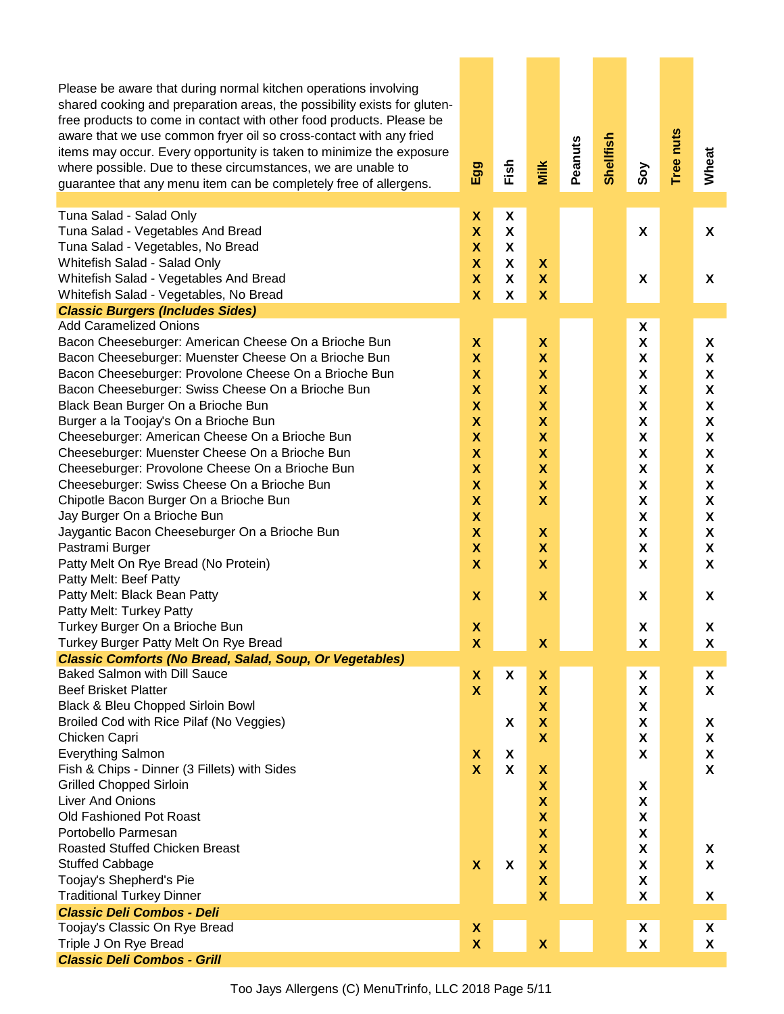| Please be aware that during normal kitchen operations involving<br>shared cooking and preparation areas, the possibility exists for gluten-<br>free products to come in contact with other food products. Please be<br>aware that we use common fryer oil so cross-contact with any fried<br>items may occur. Every opportunity is taken to minimize the exposure<br>where possible. Due to these circumstances, we are unable to<br>guarantee that any menu item can be completely free of allergens. | Egg                                      | Fish                      | Milk                           | Peanuts | Shellfish | Soy                            | Tree nuts | Wheat              |
|--------------------------------------------------------------------------------------------------------------------------------------------------------------------------------------------------------------------------------------------------------------------------------------------------------------------------------------------------------------------------------------------------------------------------------------------------------------------------------------------------------|------------------------------------------|---------------------------|--------------------------------|---------|-----------|--------------------------------|-----------|--------------------|
| Tuna Salad - Salad Only                                                                                                                                                                                                                                                                                                                                                                                                                                                                                | X                                        | X                         |                                |         |           |                                |           |                    |
| Tuna Salad - Vegetables And Bread                                                                                                                                                                                                                                                                                                                                                                                                                                                                      | $\overline{\mathbf{X}}$                  | $\boldsymbol{\mathsf{x}}$ |                                |         |           | X                              |           | X                  |
| Tuna Salad - Vegetables, No Bread                                                                                                                                                                                                                                                                                                                                                                                                                                                                      | $\boldsymbol{\mathsf{x}}$                | X                         |                                |         |           |                                |           |                    |
| Whitefish Salad - Salad Only                                                                                                                                                                                                                                                                                                                                                                                                                                                                           | $\boldsymbol{\mathsf{x}}$                | X                         | $\boldsymbol{\mathsf{x}}$      |         |           |                                |           |                    |
| Whitefish Salad - Vegetables And Bread                                                                                                                                                                                                                                                                                                                                                                                                                                                                 | $\boldsymbol{\mathsf{X}}$<br>$\mathbf x$ | X                         | $\mathsf{X}$                   |         |           | X                              |           | X                  |
| Whitefish Salad - Vegetables, No Bread<br><b>Classic Burgers (Includes Sides)</b>                                                                                                                                                                                                                                                                                                                                                                                                                      |                                          | X                         | $\boldsymbol{\mathsf{x}}$      |         |           |                                |           |                    |
| <b>Add Caramelized Onions</b>                                                                                                                                                                                                                                                                                                                                                                                                                                                                          |                                          |                           |                                |         |           | X                              |           |                    |
| Bacon Cheeseburger: American Cheese On a Brioche Bun                                                                                                                                                                                                                                                                                                                                                                                                                                                   | X                                        |                           | X                              |         |           | X                              |           | X                  |
| Bacon Cheeseburger: Muenster Cheese On a Brioche Bun                                                                                                                                                                                                                                                                                                                                                                                                                                                   | $\boldsymbol{\mathsf{x}}$                |                           | X                              |         |           | X                              |           | X                  |
| Bacon Cheeseburger: Provolone Cheese On a Brioche Bun                                                                                                                                                                                                                                                                                                                                                                                                                                                  | $\boldsymbol{\mathsf{x}}$                |                           | X                              |         |           | $\boldsymbol{\mathsf{X}}$      |           | X                  |
| Bacon Cheeseburger: Swiss Cheese On a Brioche Bun                                                                                                                                                                                                                                                                                                                                                                                                                                                      | $\boldsymbol{\mathsf{x}}$                |                           | $\mathsf{X}$                   |         |           | $\boldsymbol{\mathsf{X}}$      |           | X                  |
| Black Bean Burger On a Brioche Bun                                                                                                                                                                                                                                                                                                                                                                                                                                                                     | $\boldsymbol{\mathsf{x}}$                |                           | $\mathsf{X}$                   |         |           | $\boldsymbol{\mathsf{x}}$      |           | $\pmb{\mathsf{X}}$ |
| Burger a la Toojay's On a Brioche Bun                                                                                                                                                                                                                                                                                                                                                                                                                                                                  | $\boldsymbol{\mathsf{X}}$                |                           | $\mathsf{X}$                   |         |           | $\boldsymbol{\mathsf{X}}$      |           | X                  |
| Cheeseburger: American Cheese On a Brioche Bun                                                                                                                                                                                                                                                                                                                                                                                                                                                         | $\boldsymbol{\mathsf{X}}$                |                           | $\mathsf{X}$                   |         |           | $\boldsymbol{\mathsf{X}}$      |           | X                  |
| Cheeseburger: Muenster Cheese On a Brioche Bun                                                                                                                                                                                                                                                                                                                                                                                                                                                         | $\boldsymbol{\mathsf{X}}$                |                           | $\boldsymbol{\mathsf{X}}$      |         |           | $\boldsymbol{\mathsf{x}}$      |           | $\pmb{\mathsf{X}}$ |
| Cheeseburger: Provolone Cheese On a Brioche Bun                                                                                                                                                                                                                                                                                                                                                                                                                                                        | $\boldsymbol{\mathsf{X}}$                |                           | X                              |         |           | $\boldsymbol{\mathsf{x}}$      |           | X                  |
| Cheeseburger: Swiss Cheese On a Brioche Bun                                                                                                                                                                                                                                                                                                                                                                                                                                                            | $\boldsymbol{\mathsf{X}}$                |                           | $\mathsf{X}$                   |         |           | X                              |           | X                  |
| Chipotle Bacon Burger On a Brioche Bun                                                                                                                                                                                                                                                                                                                                                                                                                                                                 | $\boldsymbol{\mathsf{X}}$                |                           | $\mathbf x$                    |         |           | $\boldsymbol{\mathsf{X}}$      |           | X                  |
| Jay Burger On a Brioche Bun                                                                                                                                                                                                                                                                                                                                                                                                                                                                            | $\boldsymbol{\mathsf{X}}$                |                           |                                |         |           | $\boldsymbol{\mathsf{X}}$      |           | X                  |
| Jaygantic Bacon Cheeseburger On a Brioche Bun                                                                                                                                                                                                                                                                                                                                                                                                                                                          | $\boldsymbol{\mathsf{X}}$                |                           | X                              |         |           | X                              |           | X                  |
| Pastrami Burger                                                                                                                                                                                                                                                                                                                                                                                                                                                                                        | $\boldsymbol{\mathsf{X}}$                |                           | X                              |         |           | X                              |           | X                  |
| Patty Melt On Rye Bread (No Protein)                                                                                                                                                                                                                                                                                                                                                                                                                                                                   | $\mathbf x$                              |                           | X                              |         |           | X                              |           | X                  |
| Patty Melt: Beef Patty                                                                                                                                                                                                                                                                                                                                                                                                                                                                                 |                                          |                           |                                |         |           |                                |           |                    |
| Patty Melt: Black Bean Patty                                                                                                                                                                                                                                                                                                                                                                                                                                                                           | $\boldsymbol{\mathsf{X}}$                |                           | $\boldsymbol{\mathsf{x}}$      |         |           | X                              |           | X                  |
| Patty Melt: Turkey Patty                                                                                                                                                                                                                                                                                                                                                                                                                                                                               |                                          |                           |                                |         |           |                                |           |                    |
| Turkey Burger On a Brioche Bun                                                                                                                                                                                                                                                                                                                                                                                                                                                                         | $\boldsymbol{\mathsf{X}}$                |                           |                                |         |           | X                              |           | X                  |
| Turkey Burger Patty Melt On Rye Bread                                                                                                                                                                                                                                                                                                                                                                                                                                                                  | X                                        |                           | $\pmb{\mathsf{X}}$             |         |           | X                              |           | X                  |
| <b>Classic Comforts (No Bread, Salad, Soup, Or Vegetables)</b>                                                                                                                                                                                                                                                                                                                                                                                                                                         |                                          |                           |                                |         |           |                                |           |                    |
| <b>Baked Salmon with Dill Sauce</b><br><b>Beef Brisket Platter</b>                                                                                                                                                                                                                                                                                                                                                                                                                                     | X<br>$\boldsymbol{\mathsf{x}}$           | X                         | X<br>$\boldsymbol{\mathsf{X}}$ |         |           | X<br>$\boldsymbol{\mathsf{X}}$ |           | X<br>X             |
| Black & Bleu Chopped Sirloin Bowl                                                                                                                                                                                                                                                                                                                                                                                                                                                                      |                                          |                           | $\boldsymbol{\mathsf{x}}$      |         |           | $\boldsymbol{\mathsf{X}}$      |           |                    |
| Broiled Cod with Rice Pilaf (No Veggies)                                                                                                                                                                                                                                                                                                                                                                                                                                                               |                                          | X                         | $\pmb{\mathsf{X}}$             |         |           | X                              |           | X                  |
| Chicken Capri                                                                                                                                                                                                                                                                                                                                                                                                                                                                                          |                                          |                           | $\boldsymbol{\mathsf{X}}$      |         |           | $\boldsymbol{\mathsf{X}}$      |           | X                  |
| <b>Everything Salmon</b>                                                                                                                                                                                                                                                                                                                                                                                                                                                                               | X                                        | X                         |                                |         |           | X                              |           | X                  |
| Fish & Chips - Dinner (3 Fillets) with Sides                                                                                                                                                                                                                                                                                                                                                                                                                                                           | $\boldsymbol{\mathsf{X}}$                | X                         | $\pmb{\mathsf{X}}$             |         |           |                                |           | X                  |
| <b>Grilled Chopped Sirloin</b>                                                                                                                                                                                                                                                                                                                                                                                                                                                                         |                                          |                           | $\pmb{\mathsf{X}}$             |         |           | X                              |           |                    |
| <b>Liver And Onions</b>                                                                                                                                                                                                                                                                                                                                                                                                                                                                                |                                          |                           | $\pmb{\mathsf{X}}$             |         |           | X                              |           |                    |
| Old Fashioned Pot Roast                                                                                                                                                                                                                                                                                                                                                                                                                                                                                |                                          |                           | $\pmb{\mathsf{X}}$             |         |           | X                              |           |                    |
| Portobello Parmesan                                                                                                                                                                                                                                                                                                                                                                                                                                                                                    |                                          |                           | $\pmb{\mathsf{X}}$             |         |           | X                              |           |                    |
| <b>Roasted Stuffed Chicken Breast</b>                                                                                                                                                                                                                                                                                                                                                                                                                                                                  |                                          |                           | $\pmb{\mathsf{X}}$             |         |           | X                              |           | X                  |
| <b>Stuffed Cabbage</b>                                                                                                                                                                                                                                                                                                                                                                                                                                                                                 | $\boldsymbol{\mathsf{X}}$                | X                         | $\pmb{\mathsf{X}}$             |         |           | X                              |           | X                  |
| Toojay's Shepherd's Pie                                                                                                                                                                                                                                                                                                                                                                                                                                                                                |                                          |                           | $\pmb{\mathsf{X}}$             |         |           | $\pmb{\mathsf{X}}$             |           |                    |
| <b>Traditional Turkey Dinner</b>                                                                                                                                                                                                                                                                                                                                                                                                                                                                       |                                          |                           | $\boldsymbol{\mathsf{X}}$      |         |           | $\boldsymbol{\mathsf{X}}$      |           | X                  |
| <b>Classic Deli Combos - Deli</b>                                                                                                                                                                                                                                                                                                                                                                                                                                                                      |                                          |                           |                                |         |           |                                |           |                    |
| Toojay's Classic On Rye Bread                                                                                                                                                                                                                                                                                                                                                                                                                                                                          | X                                        |                           |                                |         |           | X                              |           | X                  |
| Triple J On Rye Bread                                                                                                                                                                                                                                                                                                                                                                                                                                                                                  | $\mathbf x$                              |                           | $\boldsymbol{\mathsf{X}}$      |         |           | $\pmb{\mathsf{X}}$             |           | X                  |
| <b>Classic Deli Combos - Grill</b>                                                                                                                                                                                                                                                                                                                                                                                                                                                                     |                                          |                           |                                |         |           |                                |           |                    |

Too Jays Allergens (C) MenuTrinfo, LLC 2018 Page 5/11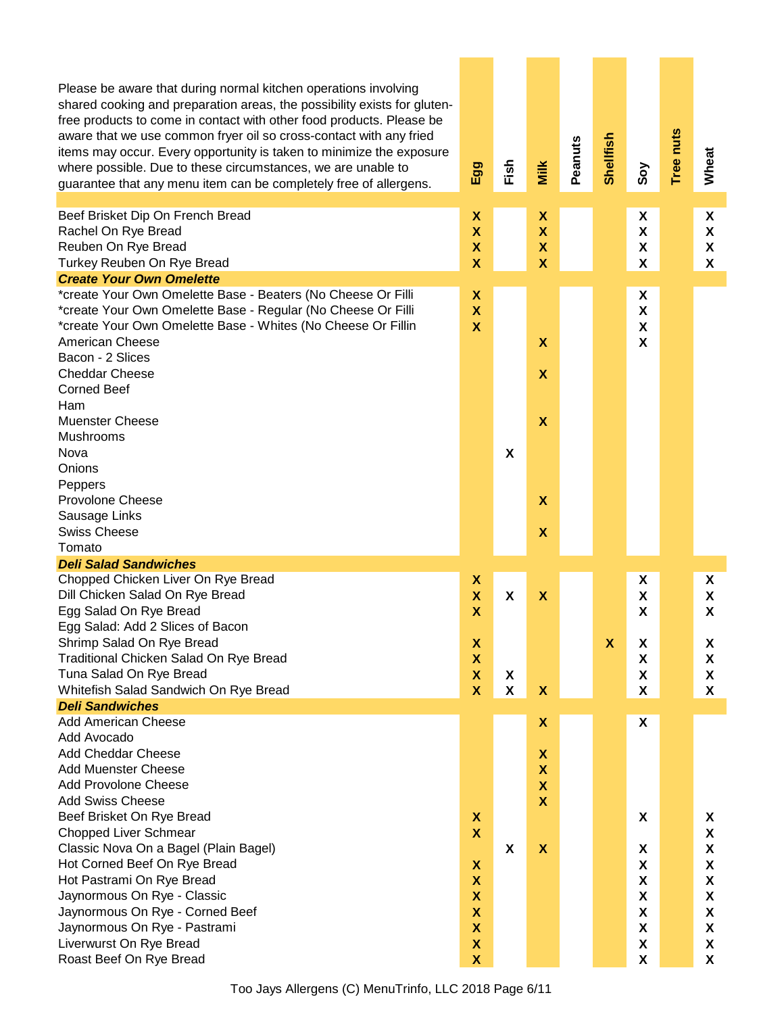| Please be aware that during normal kitchen operations involving<br>shared cooking and preparation areas, the possibility exists for gluten-<br>free products to come in contact with other food products. Please be<br>aware that we use common fryer oil so cross-contact with any fried<br>items may occur. Every opportunity is taken to minimize the exposure<br>where possible. Due to these circumstances, we are unable to<br>guarantee that any menu item can be completely free of allergens. | Egg                                                                                           | Fish                      | Milk                                                                                                      | Peanuts | Shellfish                 | Soy                               | Tree nuts | Wheat                      |
|--------------------------------------------------------------------------------------------------------------------------------------------------------------------------------------------------------------------------------------------------------------------------------------------------------------------------------------------------------------------------------------------------------------------------------------------------------------------------------------------------------|-----------------------------------------------------------------------------------------------|---------------------------|-----------------------------------------------------------------------------------------------------------|---------|---------------------------|-----------------------------------|-----------|----------------------------|
| Beef Brisket Dip On French Bread<br>Rachel On Rye Bread<br>Reuben On Rye Bread<br>Turkey Reuben On Rye Bread                                                                                                                                                                                                                                                                                                                                                                                           | X<br>$\boldsymbol{\mathsf{X}}$<br>$\boldsymbol{\mathsf{X}}$<br>$\boldsymbol{\mathsf{X}}$      |                           | X<br>$\overline{\mathbf{X}}$<br>$\boldsymbol{\mathsf{X}}$<br>$\overline{\mathbf{X}}$                      |         |                           | X<br>X<br>X<br>χ                  |           | X<br>X<br>X<br>X           |
| <b>Create Your Own Omelette</b>                                                                                                                                                                                                                                                                                                                                                                                                                                                                        |                                                                                               |                           |                                                                                                           |         |                           |                                   |           |                            |
| *create Your Own Omelette Base - Beaters (No Cheese Or Filli<br>*create Your Own Omelette Base - Regular (No Cheese Or Filli<br>*create Your Own Omelette Base - Whites (No Cheese Or Fillin<br><b>American Cheese</b>                                                                                                                                                                                                                                                                                 | X<br>$\boldsymbol{\mathsf{x}}$<br>$\mathbf x$                                                 |                           | $\boldsymbol{\mathsf{X}}$                                                                                 |         |                           | X<br>X<br>χ<br>X                  |           |                            |
| Bacon - 2 Slices<br><b>Cheddar Cheese</b><br><b>Corned Beef</b>                                                                                                                                                                                                                                                                                                                                                                                                                                        |                                                                                               |                           | $\boldsymbol{\mathsf{X}}$                                                                                 |         |                           |                                   |           |                            |
| Ham<br><b>Muenster Cheese</b><br><b>Mushrooms</b>                                                                                                                                                                                                                                                                                                                                                                                                                                                      |                                                                                               |                           | $\boldsymbol{\mathsf{X}}$                                                                                 |         |                           |                                   |           |                            |
| Nova<br>Onions<br>Peppers                                                                                                                                                                                                                                                                                                                                                                                                                                                                              |                                                                                               | $\boldsymbol{\mathsf{X}}$ |                                                                                                           |         |                           |                                   |           |                            |
| <b>Provolone Cheese</b><br>Sausage Links<br><b>Swiss Cheese</b>                                                                                                                                                                                                                                                                                                                                                                                                                                        |                                                                                               |                           | $\boldsymbol{\mathsf{X}}$<br>$\boldsymbol{\mathsf{X}}$                                                    |         |                           |                                   |           |                            |
| Tomato                                                                                                                                                                                                                                                                                                                                                                                                                                                                                                 |                                                                                               |                           |                                                                                                           |         |                           |                                   |           |                            |
| <b>Deli Salad Sandwiches</b>                                                                                                                                                                                                                                                                                                                                                                                                                                                                           |                                                                                               |                           |                                                                                                           |         |                           |                                   |           |                            |
| Chopped Chicken Liver On Rye Bread<br>Dill Chicken Salad On Rye Bread<br>Egg Salad On Rye Bread<br>Egg Salad: Add 2 Slices of Bacon                                                                                                                                                                                                                                                                                                                                                                    | X<br>$\boldsymbol{\mathsf{X}}$<br>X                                                           | X                         | $\boldsymbol{\mathsf{X}}$                                                                                 |         |                           | X<br>χ<br>X                       |           | X.<br>X<br>X               |
| Shrimp Salad On Rye Bread<br>Traditional Chicken Salad On Rye Bread<br>Tuna Salad On Rye Bread<br>Whitefish Salad Sandwich On Rye Bread                                                                                                                                                                                                                                                                                                                                                                | X<br>$\boldsymbol{\mathsf{X}}$<br>$\boldsymbol{\mathsf{X}}$<br>$\boldsymbol{\mathsf{x}}$      | X<br>X                    | $\pmb{\mathsf{X}}$                                                                                        |         | $\boldsymbol{\mathsf{X}}$ | X<br>X<br>χ<br>χ                  |           | X<br>X<br>X<br>X           |
| <b>Deli Sandwiches</b>                                                                                                                                                                                                                                                                                                                                                                                                                                                                                 |                                                                                               |                           |                                                                                                           |         |                           |                                   |           |                            |
| <b>Add American Cheese</b><br>Add Avocado                                                                                                                                                                                                                                                                                                                                                                                                                                                              |                                                                                               |                           | X                                                                                                         |         |                           | X                                 |           |                            |
| <b>Add Cheddar Cheese</b><br><b>Add Muenster Cheese</b><br><b>Add Provolone Cheese</b><br><b>Add Swiss Cheese</b>                                                                                                                                                                                                                                                                                                                                                                                      |                                                                                               |                           | $\pmb{\mathsf{X}}$<br>$\boldsymbol{\mathsf{X}}$<br>$\boldsymbol{\mathsf{X}}$<br>$\boldsymbol{\mathsf{x}}$ |         |                           |                                   |           |                            |
| Beef Brisket On Rye Bread<br><b>Chopped Liver Schmear</b><br>Classic Nova On a Bagel (Plain Bagel)<br>Hot Corned Beef On Rye Bread<br>Hot Pastrami On Rye Bread<br>Jaynormous On Rye - Classic                                                                                                                                                                                                                                                                                                         | $\boldsymbol{\mathsf{x}}$<br>$\boldsymbol{\mathsf{X}}$<br>X<br>X<br>$\boldsymbol{\mathsf{X}}$ | X                         | $\boldsymbol{\mathsf{x}}$                                                                                 |         |                           | X<br>X<br>X<br>X<br>X             |           | X<br>X<br>X<br>X<br>X<br>X |
| Jaynormous On Rye - Corned Beef<br>Jaynormous On Rye - Pastrami<br>Liverwurst On Rye Bread<br>Roast Beef On Rye Bread                                                                                                                                                                                                                                                                                                                                                                                  | $\boldsymbol{\mathsf{X}}$<br>$\boldsymbol{\mathsf{X}}$<br>$\pmb{\mathsf{X}}$<br>$\mathbf x$   |                           |                                                                                                           |         |                           | X<br>X<br>$\pmb{\mathsf{X}}$<br>X |           | X<br>X<br>X<br>X           |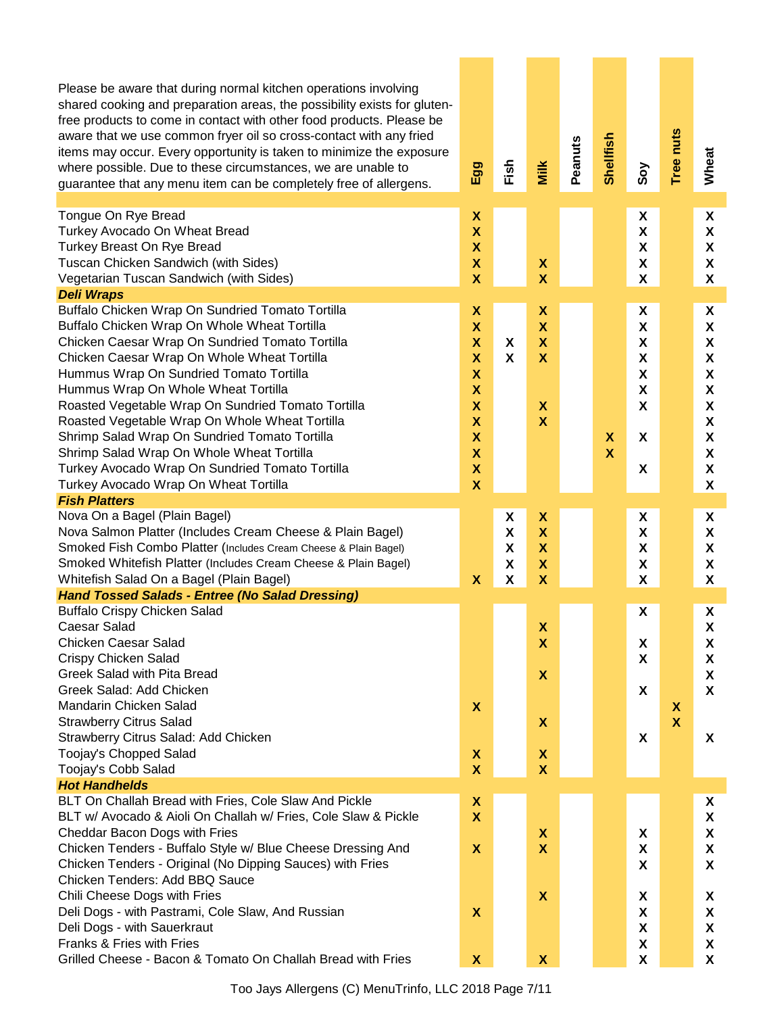| Please be aware that during normal kitchen operations involving<br>shared cooking and preparation areas, the possibility exists for gluten-<br>free products to come in contact with other food products. Please be<br>aware that we use common fryer oil so cross-contact with any fried<br>items may occur. Every opportunity is taken to minimize the exposure<br>where possible. Due to these circumstances, we are unable to<br>guarantee that any menu item can be completely free of allergens. | Egg                       | Fish   | Milk                                                 | Peanuts | <b>Shellfish</b>          | Soy                            | Tree nuts    | Wheat  |
|--------------------------------------------------------------------------------------------------------------------------------------------------------------------------------------------------------------------------------------------------------------------------------------------------------------------------------------------------------------------------------------------------------------------------------------------------------------------------------------------------------|---------------------------|--------|------------------------------------------------------|---------|---------------------------|--------------------------------|--------------|--------|
| Tongue On Rye Bread                                                                                                                                                                                                                                                                                                                                                                                                                                                                                    | X                         |        |                                                      |         |                           | X                              |              | X      |
| Turkey Avocado On Wheat Bread                                                                                                                                                                                                                                                                                                                                                                                                                                                                          | $\boldsymbol{\mathsf{X}}$ |        |                                                      |         |                           | $\pmb{\mathsf{X}}$             |              | X      |
| Turkey Breast On Rye Bread                                                                                                                                                                                                                                                                                                                                                                                                                                                                             | $\boldsymbol{\mathsf{X}}$ |        |                                                      |         |                           | $\boldsymbol{\mathsf{X}}$      |              | X      |
| Tuscan Chicken Sandwich (with Sides)<br>Vegetarian Tuscan Sandwich (with Sides)                                                                                                                                                                                                                                                                                                                                                                                                                        | X<br>$\mathbf x$          |        | $\boldsymbol{\mathsf{X}}$<br>$\overline{\mathsf{X}}$ |         |                           | X<br>$\pmb{\mathsf{X}}$        |              | X<br>X |
| <b>Deli Wraps</b>                                                                                                                                                                                                                                                                                                                                                                                                                                                                                      |                           |        |                                                      |         |                           |                                |              |        |
| Buffalo Chicken Wrap On Sundried Tomato Tortilla                                                                                                                                                                                                                                                                                                                                                                                                                                                       | X                         |        | X                                                    |         |                           | X                              |              | X      |
| Buffalo Chicken Wrap On Whole Wheat Tortilla                                                                                                                                                                                                                                                                                                                                                                                                                                                           | $\mathsf{X}$              |        | $\mathsf{X}$                                         |         |                           | X                              |              | X      |
| Chicken Caesar Wrap On Sundried Tomato Tortilla                                                                                                                                                                                                                                                                                                                                                                                                                                                        | $\boldsymbol{\mathsf{X}}$ | X      | X                                                    |         |                           | X                              |              | X      |
| Chicken Caesar Wrap On Whole Wheat Tortilla                                                                                                                                                                                                                                                                                                                                                                                                                                                            | $\boldsymbol{\mathsf{x}}$ | X      | $\boldsymbol{\mathsf{X}}$                            |         |                           | X                              |              | X      |
| Hummus Wrap On Sundried Tomato Tortilla                                                                                                                                                                                                                                                                                                                                                                                                                                                                | $\boldsymbol{\mathsf{x}}$ |        |                                                      |         |                           | X                              |              | X      |
| Hummus Wrap On Whole Wheat Tortilla                                                                                                                                                                                                                                                                                                                                                                                                                                                                    | $\boldsymbol{\mathsf{X}}$ |        |                                                      |         |                           | $\boldsymbol{\mathsf{X}}$      |              | X      |
| Roasted Vegetable Wrap On Sundried Tomato Tortilla                                                                                                                                                                                                                                                                                                                                                                                                                                                     | $\boldsymbol{\mathsf{x}}$ |        | $\boldsymbol{\mathsf{x}}$                            |         |                           | X                              |              | X      |
| Roasted Vegetable Wrap On Whole Wheat Tortilla                                                                                                                                                                                                                                                                                                                                                                                                                                                         | $\mathsf{X}$              |        | $\overline{\mathbf{X}}$                              |         |                           |                                |              | X      |
| Shrimp Salad Wrap On Sundried Tomato Tortilla                                                                                                                                                                                                                                                                                                                                                                                                                                                          | $\boldsymbol{\mathsf{X}}$ |        |                                                      |         | $\boldsymbol{\mathsf{X}}$ | X                              |              | X      |
| Shrimp Salad Wrap On Whole Wheat Tortilla                                                                                                                                                                                                                                                                                                                                                                                                                                                              | $\boldsymbol{\mathsf{X}}$ |        |                                                      |         | $\mathbf x$               |                                |              | X      |
| Turkey Avocado Wrap On Sundried Tomato Tortilla                                                                                                                                                                                                                                                                                                                                                                                                                                                        | $\boldsymbol{\mathsf{X}}$ |        |                                                      |         |                           | X                              |              | X      |
| Turkey Avocado Wrap On Wheat Tortilla                                                                                                                                                                                                                                                                                                                                                                                                                                                                  | $\overline{\mathsf{X}}$   |        |                                                      |         |                           |                                |              | X      |
| <b>Fish Platters</b>                                                                                                                                                                                                                                                                                                                                                                                                                                                                                   |                           |        |                                                      |         |                           |                                |              |        |
| Nova On a Bagel (Plain Bagel)<br>Nova Salmon Platter (Includes Cream Cheese & Plain Bagel)                                                                                                                                                                                                                                                                                                                                                                                                             |                           | X<br>X | X<br>$\overline{\mathsf{X}}$                         |         |                           | X<br>$\boldsymbol{\mathsf{X}}$ |              | X<br>X |
| Smoked Fish Combo Platter (Includes Cream Cheese & Plain Bagel)                                                                                                                                                                                                                                                                                                                                                                                                                                        |                           | X      | $\mathsf{X}$                                         |         |                           | X                              |              | X      |
| Smoked Whitefish Platter (Includes Cream Cheese & Plain Bagel)                                                                                                                                                                                                                                                                                                                                                                                                                                         |                           | X      | X                                                    |         |                           | X                              |              | X      |
| Whitefish Salad On a Bagel (Plain Bagel)                                                                                                                                                                                                                                                                                                                                                                                                                                                               | $\boldsymbol{\mathsf{X}}$ | X      | $\overline{\mathsf{X}}$                              |         |                           | X                              |              | X      |
| <b>Hand Tossed Salads - Entree (No Salad Dressing)</b>                                                                                                                                                                                                                                                                                                                                                                                                                                                 |                           |        |                                                      |         |                           |                                |              |        |
| <b>Buffalo Crispy Chicken Salad</b>                                                                                                                                                                                                                                                                                                                                                                                                                                                                    |                           |        |                                                      |         |                           | X                              |              | X      |
| Caesar Salad                                                                                                                                                                                                                                                                                                                                                                                                                                                                                           |                           |        | X                                                    |         |                           |                                |              | X      |
| <b>Chicken Caesar Salad</b>                                                                                                                                                                                                                                                                                                                                                                                                                                                                            |                           |        | X                                                    |         |                           | X                              |              | X      |
| Crispy Chicken Salad                                                                                                                                                                                                                                                                                                                                                                                                                                                                                   |                           |        |                                                      |         |                           | X                              |              | X      |
| Greek Salad with Pita Bread                                                                                                                                                                                                                                                                                                                                                                                                                                                                            |                           |        | $\boldsymbol{\mathsf{X}}$                            |         |                           |                                |              | X      |
| Greek Salad: Add Chicken                                                                                                                                                                                                                                                                                                                                                                                                                                                                               |                           |        |                                                      |         |                           | X                              |              | X      |
| Mandarin Chicken Salad                                                                                                                                                                                                                                                                                                                                                                                                                                                                                 | $\boldsymbol{\mathsf{X}}$ |        |                                                      |         |                           |                                | X            |        |
| <b>Strawberry Citrus Salad</b>                                                                                                                                                                                                                                                                                                                                                                                                                                                                         |                           |        | $\boldsymbol{\mathsf{X}}$                            |         |                           |                                | $\mathbf{X}$ |        |
| Strawberry Citrus Salad: Add Chicken                                                                                                                                                                                                                                                                                                                                                                                                                                                                   |                           |        |                                                      |         |                           | X                              |              | X      |
| Toojay's Chopped Salad                                                                                                                                                                                                                                                                                                                                                                                                                                                                                 | X                         |        | $\boldsymbol{\mathsf{x}}$                            |         |                           |                                |              |        |
| Toojay's Cobb Salad                                                                                                                                                                                                                                                                                                                                                                                                                                                                                    | $\boldsymbol{\mathsf{x}}$ |        | $\boldsymbol{\mathsf{x}}$                            |         |                           |                                |              |        |
| <b>Hot Handhelds</b><br>BLT On Challah Bread with Fries, Cole Slaw And Pickle                                                                                                                                                                                                                                                                                                                                                                                                                          |                           |        |                                                      |         |                           |                                |              |        |
| BLT w/ Avocado & Aioli On Challah w/ Fries, Cole Slaw & Pickle                                                                                                                                                                                                                                                                                                                                                                                                                                         | X<br>$\mathbf{x}$         |        |                                                      |         |                           |                                |              | X<br>X |
| Cheddar Bacon Dogs with Fries                                                                                                                                                                                                                                                                                                                                                                                                                                                                          |                           |        | $\boldsymbol{\mathsf{X}}$                            |         |                           | X                              |              | X      |
| Chicken Tenders - Buffalo Style w/ Blue Cheese Dressing And                                                                                                                                                                                                                                                                                                                                                                                                                                            | X                         |        | $\boldsymbol{\mathsf{X}}$                            |         |                           | X                              |              | X      |
| Chicken Tenders - Original (No Dipping Sauces) with Fries                                                                                                                                                                                                                                                                                                                                                                                                                                              |                           |        |                                                      |         |                           | X                              |              | X.     |
| Chicken Tenders: Add BBQ Sauce                                                                                                                                                                                                                                                                                                                                                                                                                                                                         |                           |        |                                                      |         |                           |                                |              |        |
| Chili Cheese Dogs with Fries                                                                                                                                                                                                                                                                                                                                                                                                                                                                           |                           |        | $\boldsymbol{\mathsf{x}}$                            |         |                           | X                              |              | X      |
| Deli Dogs - with Pastrami, Cole Slaw, And Russian                                                                                                                                                                                                                                                                                                                                                                                                                                                      | X                         |        |                                                      |         |                           | X                              |              | X      |
| Deli Dogs - with Sauerkraut                                                                                                                                                                                                                                                                                                                                                                                                                                                                            |                           |        |                                                      |         |                           | $\pmb{\mathsf{X}}$             |              | X      |
| Franks & Fries with Fries                                                                                                                                                                                                                                                                                                                                                                                                                                                                              |                           |        |                                                      |         |                           | X                              |              | X      |
| Grilled Cheese - Bacon & Tomato On Challah Bread with Fries                                                                                                                                                                                                                                                                                                                                                                                                                                            | $\mathbf{x}$              |        | $\boldsymbol{\mathsf{x}}$                            |         |                           | $\pmb{\mathsf{X}}$             |              | X      |

Too Jays Allergens (C) MenuTrinfo, LLC 2018 Page 7/11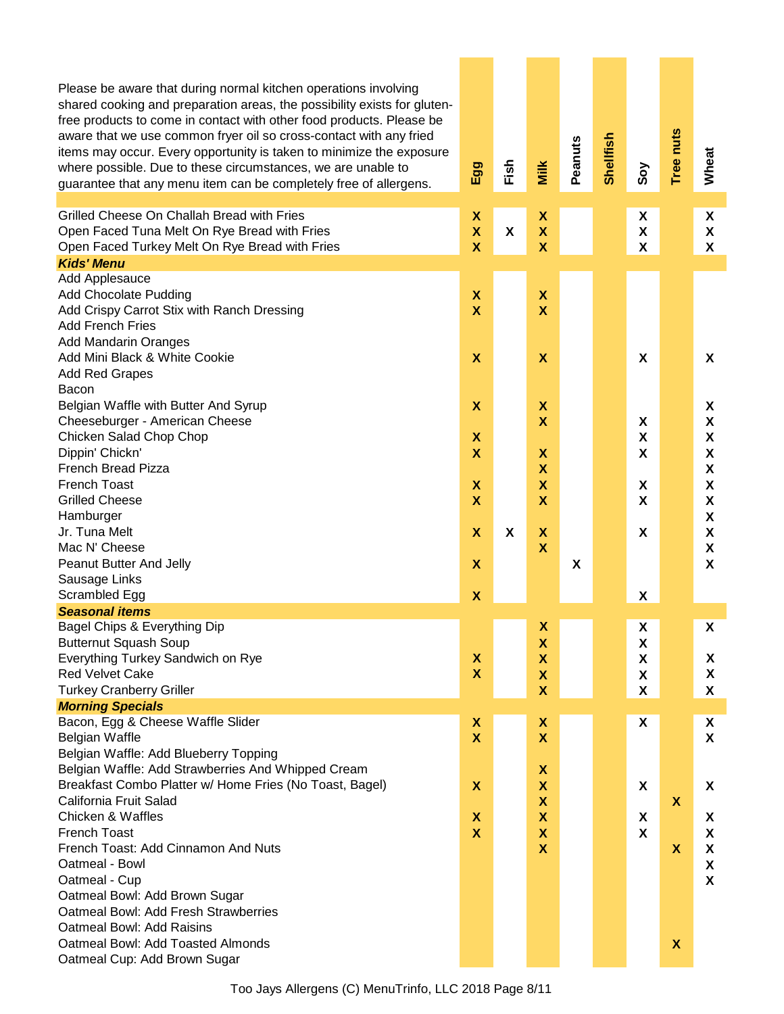| Please be aware that during normal kitchen operations involving<br>shared cooking and preparation areas, the possibility exists for gluten-<br>free products to come in contact with other food products. Please be<br>aware that we use common fryer oil so cross-contact with any fried<br>items may occur. Every opportunity is taken to minimize the exposure<br>where possible. Due to these circumstances, we are unable to<br>guarantee that any menu item can be completely free of allergens. | Egg                                                    | Fish | Milk                                                   | Peanuts | Shellfish | Soy                       | Tree nuts                 | Wheat                                                  |
|--------------------------------------------------------------------------------------------------------------------------------------------------------------------------------------------------------------------------------------------------------------------------------------------------------------------------------------------------------------------------------------------------------------------------------------------------------------------------------------------------------|--------------------------------------------------------|------|--------------------------------------------------------|---------|-----------|---------------------------|---------------------------|--------------------------------------------------------|
| Grilled Cheese On Challah Bread with Fries                                                                                                                                                                                                                                                                                                                                                                                                                                                             | χ                                                      |      | X                                                      |         |           | X                         |                           | X                                                      |
| Open Faced Tuna Melt On Rye Bread with Fries<br>Open Faced Turkey Melt On Rye Bread with Fries                                                                                                                                                                                                                                                                                                                                                                                                         | $\boldsymbol{\mathsf{X}}$<br>$\boldsymbol{\mathsf{X}}$ | X    | $\boldsymbol{\mathsf{X}}$<br>$\boldsymbol{\mathsf{X}}$ |         |           | $\pmb{\mathsf{X}}$<br>X   |                           | $\boldsymbol{\mathsf{X}}$<br>$\boldsymbol{\mathsf{X}}$ |
| <b>Kids' Menu</b>                                                                                                                                                                                                                                                                                                                                                                                                                                                                                      |                                                        |      |                                                        |         |           |                           |                           |                                                        |
| Add Applesauce                                                                                                                                                                                                                                                                                                                                                                                                                                                                                         |                                                        |      |                                                        |         |           |                           |                           |                                                        |
| <b>Add Chocolate Pudding</b>                                                                                                                                                                                                                                                                                                                                                                                                                                                                           | X                                                      |      | $\boldsymbol{\mathsf{X}}$                              |         |           |                           |                           |                                                        |
| Add Crispy Carrot Stix with Ranch Dressing                                                                                                                                                                                                                                                                                                                                                                                                                                                             | X                                                      |      | $\overline{\mathbf{X}}$                                |         |           |                           |                           |                                                        |
| <b>Add French Fries</b>                                                                                                                                                                                                                                                                                                                                                                                                                                                                                |                                                        |      |                                                        |         |           |                           |                           |                                                        |
| <b>Add Mandarin Oranges</b>                                                                                                                                                                                                                                                                                                                                                                                                                                                                            |                                                        |      |                                                        |         |           |                           |                           |                                                        |
| Add Mini Black & White Cookie                                                                                                                                                                                                                                                                                                                                                                                                                                                                          | $\boldsymbol{\mathsf{x}}$                              |      | $\boldsymbol{\mathsf{X}}$                              |         |           | X                         |                           | X                                                      |
| <b>Add Red Grapes</b>                                                                                                                                                                                                                                                                                                                                                                                                                                                                                  |                                                        |      |                                                        |         |           |                           |                           |                                                        |
| Bacon                                                                                                                                                                                                                                                                                                                                                                                                                                                                                                  |                                                        |      |                                                        |         |           |                           |                           |                                                        |
| Belgian Waffle with Butter And Syrup                                                                                                                                                                                                                                                                                                                                                                                                                                                                   | $\boldsymbol{\mathsf{x}}$                              |      | $\boldsymbol{\mathsf{X}}$                              |         |           |                           |                           | X                                                      |
| Cheeseburger - American Cheese                                                                                                                                                                                                                                                                                                                                                                                                                                                                         |                                                        |      | $\mathsf{X}$                                           |         |           | X                         |                           | X                                                      |
| Chicken Salad Chop Chop                                                                                                                                                                                                                                                                                                                                                                                                                                                                                | $\boldsymbol{\mathsf{x}}$                              |      |                                                        |         |           | $\boldsymbol{\mathsf{X}}$ |                           | X                                                      |
| Dippin' Chickn'                                                                                                                                                                                                                                                                                                                                                                                                                                                                                        | $\boldsymbol{\mathsf{x}}$                              |      | $\boldsymbol{\mathsf{X}}$                              |         |           | X                         |                           | X                                                      |
| <b>French Bread Pizza</b>                                                                                                                                                                                                                                                                                                                                                                                                                                                                              |                                                        |      | X                                                      |         |           |                           |                           | X                                                      |
| <b>French Toast</b><br><b>Grilled Cheese</b>                                                                                                                                                                                                                                                                                                                                                                                                                                                           | X<br>$\boldsymbol{\mathsf{x}}$                         |      | $\boldsymbol{\mathsf{X}}$<br>$\overline{\mathbf{X}}$   |         |           | X                         |                           | X                                                      |
| Hamburger                                                                                                                                                                                                                                                                                                                                                                                                                                                                                              |                                                        |      |                                                        |         |           | X                         |                           | X<br>X                                                 |
| Jr. Tuna Melt                                                                                                                                                                                                                                                                                                                                                                                                                                                                                          | $\boldsymbol{\mathsf{x}}$                              | X    | $\boldsymbol{\mathsf{X}}$                              |         |           | X                         |                           | X                                                      |
| Mac N' Cheese                                                                                                                                                                                                                                                                                                                                                                                                                                                                                          |                                                        |      | $\boldsymbol{\mathsf{X}}$                              |         |           |                           |                           | X                                                      |
| Peanut Butter And Jelly                                                                                                                                                                                                                                                                                                                                                                                                                                                                                | X                                                      |      |                                                        | X       |           |                           |                           | $\boldsymbol{\mathsf{X}}$                              |
| Sausage Links                                                                                                                                                                                                                                                                                                                                                                                                                                                                                          |                                                        |      |                                                        |         |           |                           |                           |                                                        |
| Scrambled Egg                                                                                                                                                                                                                                                                                                                                                                                                                                                                                          | X                                                      |      |                                                        |         |           | X                         |                           |                                                        |
| <b>Seasonal items</b>                                                                                                                                                                                                                                                                                                                                                                                                                                                                                  |                                                        |      |                                                        |         |           |                           |                           |                                                        |
| Bagel Chips & Everything Dip                                                                                                                                                                                                                                                                                                                                                                                                                                                                           |                                                        |      | X                                                      |         |           | X                         |                           | X                                                      |
| <b>Butternut Squash Soup</b>                                                                                                                                                                                                                                                                                                                                                                                                                                                                           |                                                        |      | X                                                      |         |           | X                         |                           |                                                        |
| Everything Turkey Sandwich on Rye                                                                                                                                                                                                                                                                                                                                                                                                                                                                      | X                                                      |      | $\boldsymbol{\mathsf{X}}$                              |         |           | X                         |                           | X                                                      |
| <b>Red Velvet Cake</b>                                                                                                                                                                                                                                                                                                                                                                                                                                                                                 | X                                                      |      | $\pmb{\mathsf{X}}$                                     |         |           | X                         |                           | X                                                      |
| <b>Turkey Cranberry Griller</b>                                                                                                                                                                                                                                                                                                                                                                                                                                                                        |                                                        |      | $\mathsf{X}$                                           |         |           | X                         |                           | X                                                      |
| <b>Morning Specials</b><br>Bacon, Egg & Cheese Waffle Slider                                                                                                                                                                                                                                                                                                                                                                                                                                           |                                                        |      | X                                                      |         |           | X                         |                           |                                                        |
| Belgian Waffle                                                                                                                                                                                                                                                                                                                                                                                                                                                                                         | X<br>$\mathbf x$                                       |      | $\boldsymbol{\mathsf{X}}$                              |         |           |                           |                           | X<br>$\boldsymbol{\mathsf{X}}$                         |
| Belgian Waffle: Add Blueberry Topping                                                                                                                                                                                                                                                                                                                                                                                                                                                                  |                                                        |      |                                                        |         |           |                           |                           |                                                        |
| Belgian Waffle: Add Strawberries And Whipped Cream                                                                                                                                                                                                                                                                                                                                                                                                                                                     |                                                        |      | $\boldsymbol{\mathsf{X}}$                              |         |           |                           |                           |                                                        |
| Breakfast Combo Platter w/ Home Fries (No Toast, Bagel)                                                                                                                                                                                                                                                                                                                                                                                                                                                | X                                                      |      | X                                                      |         |           | X                         |                           | X                                                      |
| California Fruit Salad                                                                                                                                                                                                                                                                                                                                                                                                                                                                                 |                                                        |      | X                                                      |         |           |                           | $\boldsymbol{\mathsf{X}}$ |                                                        |
| <b>Chicken &amp; Waffles</b>                                                                                                                                                                                                                                                                                                                                                                                                                                                                           | X                                                      |      | X                                                      |         |           | X                         |                           | X                                                      |
| <b>French Toast</b>                                                                                                                                                                                                                                                                                                                                                                                                                                                                                    | $\boldsymbol{\mathsf{X}}$                              |      | $\boldsymbol{\mathsf{X}}$                              |         |           | X                         |                           | X                                                      |
| French Toast: Add Cinnamon And Nuts                                                                                                                                                                                                                                                                                                                                                                                                                                                                    |                                                        |      | $\boldsymbol{\mathsf{x}}$                              |         |           |                           | X                         | X                                                      |
| Oatmeal - Bowl                                                                                                                                                                                                                                                                                                                                                                                                                                                                                         |                                                        |      |                                                        |         |           |                           |                           | X                                                      |
| Oatmeal - Cup                                                                                                                                                                                                                                                                                                                                                                                                                                                                                          |                                                        |      |                                                        |         |           |                           |                           | X                                                      |
| Oatmeal Bowl: Add Brown Sugar                                                                                                                                                                                                                                                                                                                                                                                                                                                                          |                                                        |      |                                                        |         |           |                           |                           |                                                        |
| Oatmeal Bowl: Add Fresh Strawberries                                                                                                                                                                                                                                                                                                                                                                                                                                                                   |                                                        |      |                                                        |         |           |                           |                           |                                                        |
| Oatmeal Bowl: Add Raisins                                                                                                                                                                                                                                                                                                                                                                                                                                                                              |                                                        |      |                                                        |         |           |                           |                           |                                                        |
| Oatmeal Bowl: Add Toasted Almonds                                                                                                                                                                                                                                                                                                                                                                                                                                                                      |                                                        |      |                                                        |         |           |                           | $\boldsymbol{\mathsf{X}}$ |                                                        |
| Oatmeal Cup: Add Brown Sugar                                                                                                                                                                                                                                                                                                                                                                                                                                                                           |                                                        |      |                                                        |         |           |                           |                           |                                                        |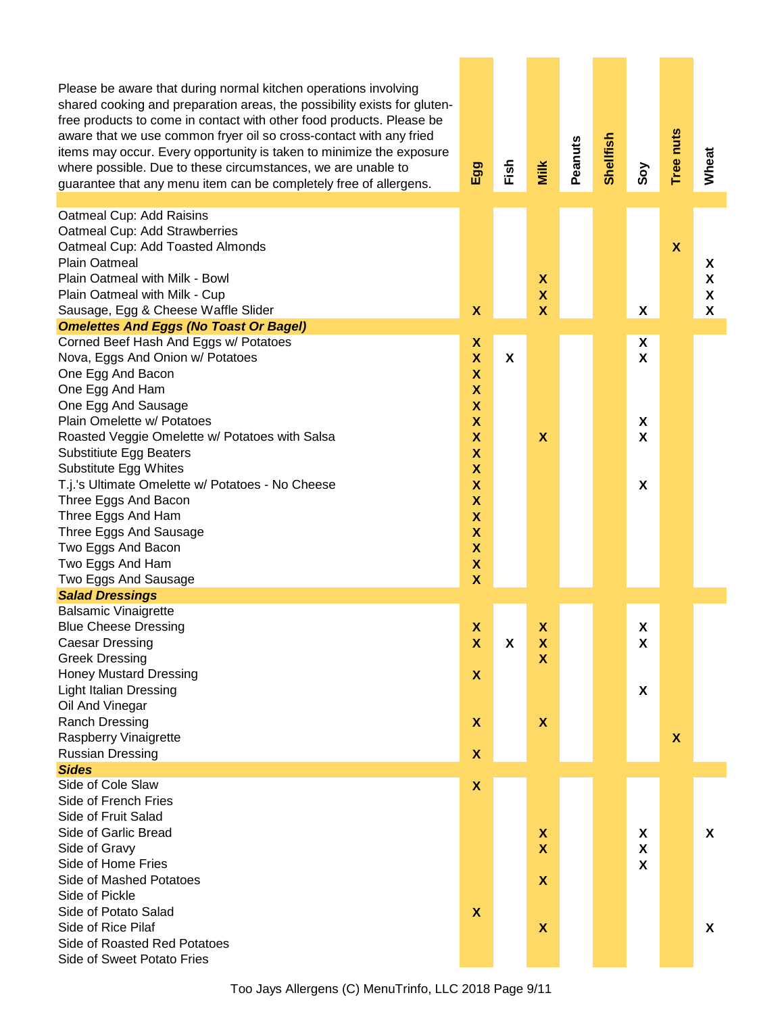| Please be aware that during normal kitchen operations involving<br>shared cooking and preparation areas, the possibility exists for gluten-<br>free products to come in contact with other food products. Please be<br>aware that we use common fryer oil so cross-contact with any fried<br>items may occur. Every opportunity is taken to minimize the exposure<br>where possible. Due to these circumstances, we are unable to<br>guarantee that any menu item can be completely free of allergens. | Egg                                                                                                                                                   | Fish                      | Milk                                                 | Peanuts | Shellfish | Soy                            | Tree nuts                 | Wheat            |
|--------------------------------------------------------------------------------------------------------------------------------------------------------------------------------------------------------------------------------------------------------------------------------------------------------------------------------------------------------------------------------------------------------------------------------------------------------------------------------------------------------|-------------------------------------------------------------------------------------------------------------------------------------------------------|---------------------------|------------------------------------------------------|---------|-----------|--------------------------------|---------------------------|------------------|
| Oatmeal Cup: Add Raisins<br>Oatmeal Cup: Add Strawberries<br>Oatmeal Cup: Add Toasted Almonds<br><b>Plain Oatmeal</b><br>Plain Oatmeal with Milk - Bowl<br>Plain Oatmeal with Milk - Cup<br>Sausage, Egg & Cheese Waffle Slider<br><b>Omelettes And Eggs (No Toast Or Bagel)</b>                                                                                                                                                                                                                       | X                                                                                                                                                     |                           | X<br>$\pmb{\mathsf{X}}$<br>$\boldsymbol{\mathsf{X}}$ |         |           | X                              | $\mathbf x$               | X<br>X<br>X<br>X |
| Corned Beef Hash And Eggs w/ Potatoes<br>Nova, Eggs And Onion w/ Potatoes<br>One Egg And Bacon<br>One Egg And Ham<br>One Egg And Sausage                                                                                                                                                                                                                                                                                                                                                               | X<br>$\overline{\mathbf{X}}$<br>$\mathbf x$<br>$\mathsf{X}$<br>$\boldsymbol{\mathsf{X}}$                                                              | $\boldsymbol{\mathsf{x}}$ |                                                      |         |           | X<br>$\boldsymbol{\mathsf{X}}$ |                           |                  |
| Plain Omelette w/ Potatoes<br>Roasted Veggie Omelette w/ Potatoes with Salsa<br><b>Substitiute Egg Beaters</b><br>Substitute Egg Whites                                                                                                                                                                                                                                                                                                                                                                | $\mathsf{X}$<br>$\mathsf{X}$<br>$\boldsymbol{\mathsf{X}}$<br>X                                                                                        |                           | $\boldsymbol{\mathsf{x}}$                            |         |           | X<br>X                         |                           |                  |
| T.j.'s Ultimate Omelette w/ Potatoes - No Cheese<br>Three Eggs And Bacon<br>Three Eggs And Ham<br>Three Eggs And Sausage<br>Two Eggs And Bacon<br>Two Eggs And Ham                                                                                                                                                                                                                                                                                                                                     | $\boldsymbol{\mathsf{X}}$<br>$\boldsymbol{\mathsf{X}}$<br>$\boldsymbol{\mathsf{X}}$<br>$\boldsymbol{\mathsf{X}}$<br>X<br>X<br>$\overline{\mathsf{X}}$ |                           |                                                      |         |           | X                              |                           |                  |
| Two Eggs And Sausage<br><b>Salad Dressings</b>                                                                                                                                                                                                                                                                                                                                                                                                                                                         |                                                                                                                                                       |                           |                                                      |         |           |                                |                           |                  |
| <b>Balsamic Vinaigrette</b>                                                                                                                                                                                                                                                                                                                                                                                                                                                                            |                                                                                                                                                       |                           |                                                      |         |           |                                |                           |                  |
| <b>Blue Cheese Dressing</b><br><b>Caesar Dressing</b>                                                                                                                                                                                                                                                                                                                                                                                                                                                  | X<br>$\boldsymbol{\mathsf{x}}$                                                                                                                        | X                         | $\boldsymbol{\mathsf{X}}$<br>X                       |         |           | X<br>X                         |                           |                  |
| <b>Greek Dressing</b><br><b>Honey Mustard Dressing</b>                                                                                                                                                                                                                                                                                                                                                                                                                                                 | X                                                                                                                                                     |                           | X                                                    |         |           |                                |                           |                  |
| <b>Light Italian Dressing</b>                                                                                                                                                                                                                                                                                                                                                                                                                                                                          |                                                                                                                                                       |                           |                                                      |         |           | X                              |                           |                  |
| Oil And Vinegar<br><b>Ranch Dressing</b>                                                                                                                                                                                                                                                                                                                                                                                                                                                               | $\boldsymbol{\mathsf{X}}$                                                                                                                             |                           | $\boldsymbol{\mathsf{x}}$                            |         |           |                                |                           |                  |
| Raspberry Vinaigrette                                                                                                                                                                                                                                                                                                                                                                                                                                                                                  |                                                                                                                                                       |                           |                                                      |         |           |                                | $\boldsymbol{\mathsf{X}}$ |                  |
| <b>Russian Dressing</b>                                                                                                                                                                                                                                                                                                                                                                                                                                                                                | X                                                                                                                                                     |                           |                                                      |         |           |                                |                           |                  |
| <b>Sides</b>                                                                                                                                                                                                                                                                                                                                                                                                                                                                                           |                                                                                                                                                       |                           |                                                      |         |           |                                |                           |                  |
| Side of Cole Slaw                                                                                                                                                                                                                                                                                                                                                                                                                                                                                      | X                                                                                                                                                     |                           |                                                      |         |           |                                |                           |                  |
| Side of French Fries                                                                                                                                                                                                                                                                                                                                                                                                                                                                                   |                                                                                                                                                       |                           |                                                      |         |           |                                |                           |                  |
| Side of Fruit Salad<br>Side of Garlic Bread                                                                                                                                                                                                                                                                                                                                                                                                                                                            |                                                                                                                                                       |                           | X                                                    |         |           | X                              |                           | <b>X</b>         |
| Side of Gravy                                                                                                                                                                                                                                                                                                                                                                                                                                                                                          |                                                                                                                                                       |                           | $\boldsymbol{\mathsf{x}}$                            |         |           | $\boldsymbol{\mathsf{X}}$      |                           |                  |
| Side of Home Fries                                                                                                                                                                                                                                                                                                                                                                                                                                                                                     |                                                                                                                                                       |                           |                                                      |         |           | $\boldsymbol{\mathsf{X}}$      |                           |                  |
| Side of Mashed Potatoes                                                                                                                                                                                                                                                                                                                                                                                                                                                                                |                                                                                                                                                       |                           | $\boldsymbol{\mathsf{X}}$                            |         |           |                                |                           |                  |
| Side of Pickle                                                                                                                                                                                                                                                                                                                                                                                                                                                                                         |                                                                                                                                                       |                           |                                                      |         |           |                                |                           |                  |
| Side of Potato Salad                                                                                                                                                                                                                                                                                                                                                                                                                                                                                   | $\boldsymbol{\mathsf{X}}$                                                                                                                             |                           |                                                      |         |           |                                |                           |                  |
| Side of Rice Pilaf                                                                                                                                                                                                                                                                                                                                                                                                                                                                                     |                                                                                                                                                       |                           | $\boldsymbol{\mathsf{X}}$                            |         |           |                                |                           | X                |
| Side of Roasted Red Potatoes<br>Side of Sweet Potato Fries                                                                                                                                                                                                                                                                                                                                                                                                                                             |                                                                                                                                                       |                           |                                                      |         |           |                                |                           |                  |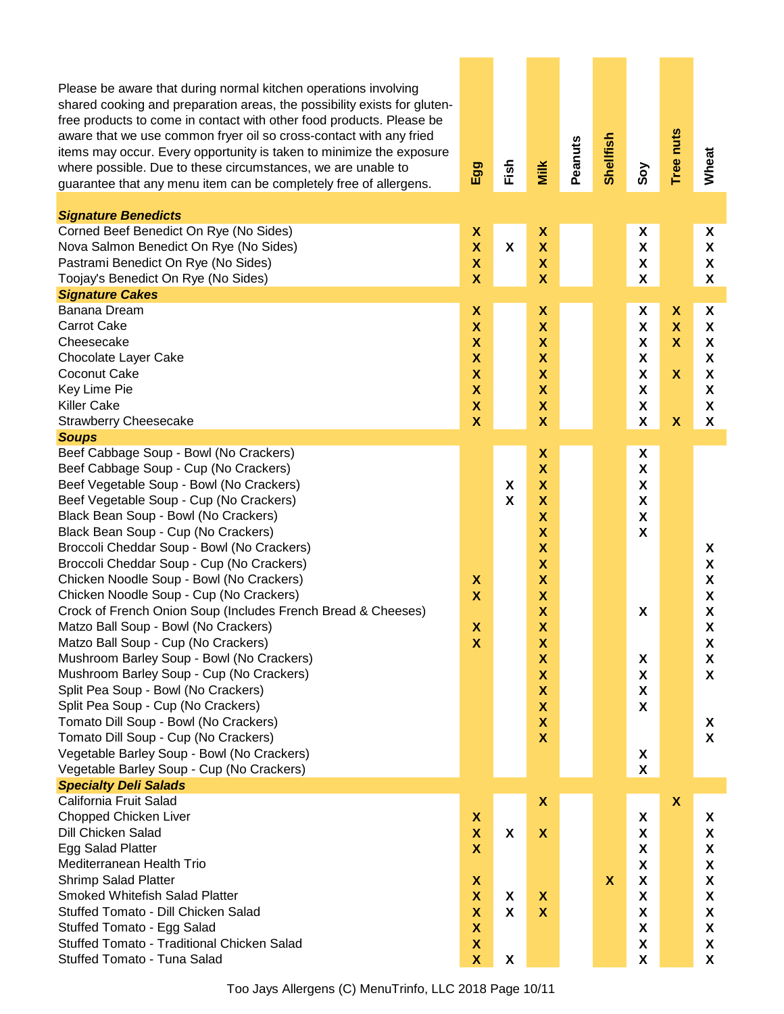| Please be aware that during normal kitchen operations involving<br>shared cooking and preparation areas, the possibility exists for gluten-<br>free products to come in contact with other food products. Please be<br>aware that we use common fryer oil so cross-contact with any fried<br>items may occur. Every opportunity is taken to minimize the exposure<br>where possible. Due to these circumstances, we are unable to<br>guarantee that any menu item can be completely free of allergens.                                                                                                                                                                                                                                                                                                                                                                                                                                                                   | Egg                                                                                                                                                                                                               | Fish                           | Milk                                                                                                                                                                                                                                                                                                                                                                   | Peanuts | Shellfish                 | Soy                                                                                                                                                                            | Tree nuts                                                                  | Wheat                                                          |
|--------------------------------------------------------------------------------------------------------------------------------------------------------------------------------------------------------------------------------------------------------------------------------------------------------------------------------------------------------------------------------------------------------------------------------------------------------------------------------------------------------------------------------------------------------------------------------------------------------------------------------------------------------------------------------------------------------------------------------------------------------------------------------------------------------------------------------------------------------------------------------------------------------------------------------------------------------------------------|-------------------------------------------------------------------------------------------------------------------------------------------------------------------------------------------------------------------|--------------------------------|------------------------------------------------------------------------------------------------------------------------------------------------------------------------------------------------------------------------------------------------------------------------------------------------------------------------------------------------------------------------|---------|---------------------------|--------------------------------------------------------------------------------------------------------------------------------------------------------------------------------|----------------------------------------------------------------------------|----------------------------------------------------------------|
| <b>Signature Benedicts</b><br>Corned Beef Benedict On Rye (No Sides)                                                                                                                                                                                                                                                                                                                                                                                                                                                                                                                                                                                                                                                                                                                                                                                                                                                                                                     |                                                                                                                                                                                                                   |                                | X                                                                                                                                                                                                                                                                                                                                                                      |         |                           | X                                                                                                                                                                              |                                                                            |                                                                |
| Nova Salmon Benedict On Rye (No Sides)<br>Pastrami Benedict On Rye (No Sides)<br>Toojay's Benedict On Rye (No Sides)<br><b>Signature Cakes</b>                                                                                                                                                                                                                                                                                                                                                                                                                                                                                                                                                                                                                                                                                                                                                                                                                           | X<br>$\overline{\mathsf{X}}$<br>$\boldsymbol{\mathsf{X}}$<br>X                                                                                                                                                    | X                              | $\overline{\mathsf{X}}$<br>$\boldsymbol{\mathsf{X}}$<br>$\boldsymbol{\mathsf{X}}$                                                                                                                                                                                                                                                                                      |         |                           | $\boldsymbol{\mathsf{X}}$<br>X<br>X                                                                                                                                            |                                                                            | X<br>X<br>X<br>X                                               |
| Banana Dream                                                                                                                                                                                                                                                                                                                                                                                                                                                                                                                                                                                                                                                                                                                                                                                                                                                                                                                                                             | X                                                                                                                                                                                                                 |                                | X                                                                                                                                                                                                                                                                                                                                                                      |         |                           | X                                                                                                                                                                              | X                                                                          | X                                                              |
| <b>Carrot Cake</b><br>Cheesecake<br>Chocolate Layer Cake<br>Coconut Cake<br>Key Lime Pie<br><b>Killer Cake</b><br><b>Strawberry Cheesecake</b>                                                                                                                                                                                                                                                                                                                                                                                                                                                                                                                                                                                                                                                                                                                                                                                                                           | $\boldsymbol{\mathsf{X}}$<br>X<br>X<br>X<br>$\boldsymbol{\mathsf{X}}$<br>$\boldsymbol{\mathsf{X}}$<br>X                                                                                                           |                                | X<br>X<br>X<br>X<br>$\boldsymbol{\mathsf{X}}$<br>$\pmb{\mathsf{X}}$<br>$\overline{\mathbf{X}}$                                                                                                                                                                                                                                                                         |         |                           | $\boldsymbol{\mathsf{X}}$<br>X<br>X<br>X<br>$\pmb{\mathsf{X}}$<br>$\pmb{\chi}$<br>X                                                                                            | $\boldsymbol{\mathsf{x}}$<br>X<br>$\mathbf x$<br>$\boldsymbol{\mathsf{x}}$ | X<br>X<br>X<br>X<br>$\boldsymbol{\mathsf{X}}$<br>X<br>X        |
| <b>Soups</b>                                                                                                                                                                                                                                                                                                                                                                                                                                                                                                                                                                                                                                                                                                                                                                                                                                                                                                                                                             |                                                                                                                                                                                                                   |                                |                                                                                                                                                                                                                                                                                                                                                                        |         |                           |                                                                                                                                                                                |                                                                            |                                                                |
| Beef Cabbage Soup - Bowl (No Crackers)<br>Beef Cabbage Soup - Cup (No Crackers)<br>Beef Vegetable Soup - Bowl (No Crackers)<br>Beef Vegetable Soup - Cup (No Crackers)<br>Black Bean Soup - Bowl (No Crackers)<br>Black Bean Soup - Cup (No Crackers)<br>Broccoli Cheddar Soup - Bowl (No Crackers)<br>Broccoli Cheddar Soup - Cup (No Crackers)<br>Chicken Noodle Soup - Bowl (No Crackers)<br>Chicken Noodle Soup - Cup (No Crackers)<br>Crock of French Onion Soup (Includes French Bread & Cheeses)<br>Matzo Ball Soup - Bowl (No Crackers)<br>Matzo Ball Soup - Cup (No Crackers)<br>Mushroom Barley Soup - Bowl (No Crackers)<br>Mushroom Barley Soup - Cup (No Crackers)<br>Split Pea Soup - Bowl (No Crackers)<br>Split Pea Soup - Cup (No Crackers)<br>Tomato Dill Soup - Bowl (No Crackers)<br>Tomato Dill Soup - Cup (No Crackers)<br>Vegetable Barley Soup - Bowl (No Crackers)<br>Vegetable Barley Soup - Cup (No Crackers)<br><b>Specialty Deli Salads</b> | X<br>$\boldsymbol{\mathsf{x}}$<br>X<br>X                                                                                                                                                                          | X<br>$\boldsymbol{\mathsf{X}}$ | $\pmb{\mathsf{X}}$<br>$\boldsymbol{\mathsf{X}}$<br>$\boldsymbol{\mathsf{X}}$<br>$\boldsymbol{\mathsf{X}}$<br>$\boldsymbol{\mathsf{X}}$<br>X<br>X<br>X<br>X<br>X<br>X<br>$\boldsymbol{\mathsf{X}}$<br>X<br>$\boldsymbol{\mathsf{X}}$<br>$\pmb{\mathsf{X}}$<br>$\boldsymbol{\mathsf{X}}$<br>$\boldsymbol{\mathsf{X}}$<br>$\pmb{\mathsf{X}}$<br>$\boldsymbol{\mathsf{X}}$ |         |                           | X<br>$\pmb{\chi}$<br>$\pmb{\mathsf{X}}$<br>$\pmb{\chi}$<br>$\pmb{\mathsf{X}}$<br>X<br>X<br>X<br>$\pmb{\chi}$<br>$\pmb{\chi}$<br>$\pmb{\chi}$<br>X<br>$\boldsymbol{\mathsf{X}}$ |                                                                            | X<br>X<br>X<br>X<br>X<br>X<br>X<br>X<br>X<br>X<br>$\mathsf{x}$ |
| California Fruit Salad<br>Chopped Chicken Liver<br>Dill Chicken Salad<br>Egg Salad Platter<br>Mediterranean Health Trio<br><b>Shrimp Salad Platter</b><br><b>Smoked Whitefish Salad Platter</b><br>Stuffed Tomato - Dill Chicken Salad<br>Stuffed Tomato - Egg Salad<br>Stuffed Tomato - Traditional Chicken Salad<br>Stuffed Tomato - Tuna Salad                                                                                                                                                                                                                                                                                                                                                                                                                                                                                                                                                                                                                        | X<br>$\boldsymbol{\mathsf{x}}$<br>$\boldsymbol{\mathsf{x}}$<br>X<br>$\boldsymbol{\mathsf{x}}$<br>$\boldsymbol{\mathsf{x}}$<br>$\boldsymbol{\mathsf{X}}$<br>$\boldsymbol{\mathsf{X}}$<br>$\boldsymbol{\mathsf{X}}$ | X<br>X<br>X<br>X               | $\pmb{\mathsf{X}}$<br>$\boldsymbol{\mathsf{x}}$<br>$\boldsymbol{\mathsf{x}}$<br>$\boldsymbol{\mathsf{X}}$                                                                                                                                                                                                                                                              |         | $\boldsymbol{\mathsf{X}}$ | X<br>X<br>X<br>X<br>X<br>$\pmb{\mathsf{X}}$<br>$\pmb{\chi}$<br>$\pmb{\mathsf{X}}$<br>$\pmb{\mathsf{X}}$<br>$\pmb{\mathsf{X}}$                                                  | $\boldsymbol{\mathsf{x}}$                                                  | X<br>X<br>X<br>X<br>X<br>X<br>X<br>X<br>X<br>X                 |

Too Jays Allergens (C) MenuTrinfo, LLC 2018 Page 10/11